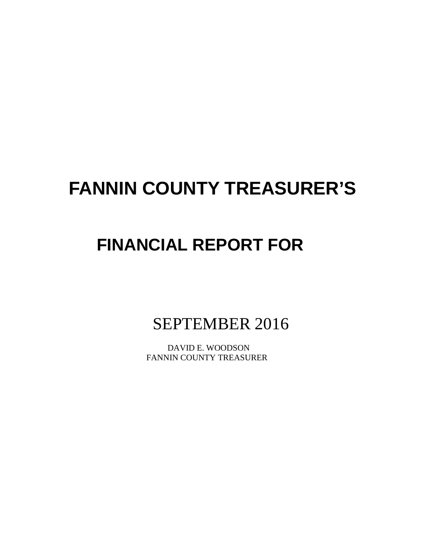# **FANNIN COUNTY TREASURER'S**

# **FINANCIAL REPORT FOR**

SEPTEMBER 2016

 DAVID E. WOODSON FANNIN COUNTY TREASURER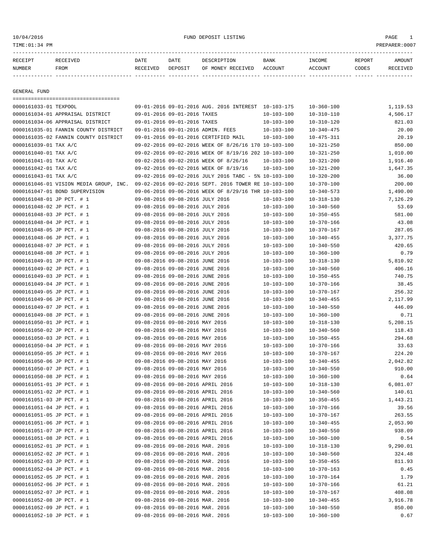# 10/04/2016 FUND DEPOSIT LISTING PAGE 1

| RECEIPT | RECEIVED | DATE     | DATE    | DESCRIPTION       | <b>BANK</b> | INCOME  | <b>REPORT</b> | AMOUNT          |
|---------|----------|----------|---------|-------------------|-------------|---------|---------------|-----------------|
| NUMBER  | FROM     | RECEIVED | DEPOSIT | OF MONEY RECEIVED | ACCOUNT     | ACCOUNT | CODES         | <b>RECEIVED</b> |
|         |          |          |         |                   |             |         |               |                 |

GENERAL FUND

| =====================================  |                                       |                                                      |                  |                  |          |
|----------------------------------------|---------------------------------------|------------------------------------------------------|------------------|------------------|----------|
| 0000161033-01 TEXPOOL                  |                                       | 09-01-2016 09-01-2016 AUG. 2016 INTEREST 10-103-175  |                  | $10 - 360 - 100$ | 1,119.53 |
| 0000161034-01 APPRAISAL DISTRICT       | 09-01-2016 09-01-2016 TAXES           |                                                      | $10 - 103 - 100$ | $10 - 310 - 110$ | 4,506.17 |
| 0000161034-06 APPRAISAL DISTRICT       | 09-01-2016 09-01-2016 TAXES           |                                                      | $10 - 103 - 100$ | $10 - 310 - 120$ | 821.03   |
| 0000161035-01 FANNIN COUNTY DISTRICT   | 09-01-2016 09-01-2016 ADMIN. FEES     |                                                      | $10 - 103 - 100$ | $10 - 340 - 475$ | 20.00    |
| 0000161035-02 FANNIN COUNTY DISTRICT   | 09-01-2016 09-01-2016 CERTIFIED MAIL  |                                                      | 10-103-100       | $10 - 475 - 311$ | 20.19    |
| 0000161039-01 TAX A/C                  |                                       | 09-02-2016 09-02-2016 WEEK OF 8/26/16 170 10-103-100 |                  | $10 - 321 - 250$ | 850.00   |
| 0000161040-01 TAX A/C                  |                                       | 09-02-2016 09-02-2016 WEEK OF 8/19/16 202 10-103-100 |                  | $10 - 321 - 250$ | 1,010.00 |
| 0000161041-01 TAX A/C                  | 09-02-2016 09-02-2016 WEEK OF 8/26/16 |                                                      | 10-103-100       | $10 - 321 - 200$ | 1,916.40 |
| 0000161042-01 TAX A/C                  | 09-02-2016 09-02-2016 WEEK OF 8/19/16 |                                                      | $10 - 103 - 100$ | $10 - 321 - 200$ | 1,647.35 |
| 0000161043-01 TAX A/C                  |                                       | 09-02-2016 09-02-2016 JULY 2016 TABC - 5% 10-103-100 |                  | $10 - 320 - 200$ | 36.00    |
| 0000161046-01 VISION MEDIA GROUP, INC. |                                       | 09-02-2016 09-02-2016 SEPT. 2016 TOWER RE 10-103-100 |                  | $10 - 370 - 100$ | 200.00   |
| 0000161047-01 BOND SUPERVISION         |                                       | 09-06-2016 09-06-2016 WEEK OF 8/29/16 THR 10-103-100 |                  | $10 - 340 - 573$ | 1,490.00 |
| 0000161048-01 JP PCT. # 1              | 09-08-2016 09-08-2016 JULY 2016       |                                                      | $10 - 103 - 100$ | $10 - 318 - 130$ | 7,126.29 |
| 0000161048-02 JP PCT. # 1              | 09-08-2016 09-08-2016 JULY 2016       |                                                      | $10 - 103 - 100$ | $10 - 340 - 560$ | 53.69    |
| 0000161048-03 JP PCT. # 1              | 09-08-2016 09-08-2016 JULY 2016       |                                                      | $10 - 103 - 100$ | $10 - 350 - 455$ | 581.00   |
| 0000161048-04 JP PCT. # 1              | 09-08-2016 09-08-2016 JULY 2016       |                                                      | $10 - 103 - 100$ | $10 - 370 - 166$ | 43.08    |
| 0000161048-05 JP PCT. # 1              | 09-08-2016 09-08-2016 JULY 2016       |                                                      | $10 - 103 - 100$ | $10 - 370 - 167$ | 287.05   |
| 0000161048-06 JP PCT. # 1              | 09-08-2016 09-08-2016 JULY 2016       |                                                      | $10 - 103 - 100$ | $10 - 340 - 455$ | 3,377.75 |
| 0000161048-07 JP PCT. # 1              | 09-08-2016 09-08-2016 JULY 2016       |                                                      | $10 - 103 - 100$ | $10 - 340 - 550$ | 420.65   |
| 0000161048-08 JP PCT. # 1              | 09-08-2016 09-08-2016 JULY 2016       |                                                      | $10 - 103 - 100$ | $10 - 360 - 100$ | 0.79     |
| 0000161049-01 JP PCT. # 1              | 09-08-2016 09-08-2016 JUNE 2016       |                                                      | $10 - 103 - 100$ | $10 - 318 - 130$ | 5,810.92 |
| 0000161049-02 JP PCT. # 1              | 09-08-2016 09-08-2016 JUNE 2016       |                                                      | $10 - 103 - 100$ | $10 - 340 - 560$ | 406.16   |
| 0000161049-03 JP PCT. # 1              | 09-08-2016 09-08-2016 JUNE 2016       |                                                      | $10 - 103 - 100$ | $10 - 350 - 455$ | 740.75   |
| 0000161049-04 JP PCT. # 1              | 09-08-2016 09-08-2016 JUNE 2016       |                                                      | $10 - 103 - 100$ | $10 - 370 - 166$ | 38.45    |
| 0000161049-05 JP PCT. # 1              | 09-08-2016 09-08-2016 JUNE 2016       |                                                      | $10 - 103 - 100$ | $10 - 370 - 167$ | 256.32   |
| 0000161049-06 JP PCT. # 1              | 09-08-2016 09-08-2016 JUNE 2016       |                                                      | $10 - 103 - 100$ | $10 - 340 - 455$ | 2,117.99 |
| 0000161049-07 JP PCT. # 1              | 09-08-2016 09-08-2016 JUNE 2016       |                                                      | $10 - 103 - 100$ | $10 - 340 - 550$ | 446.09   |
| 0000161049-08 JP PCT. # 1              | 09-08-2016 09-08-2016 JUNE 2016       |                                                      | $10 - 103 - 100$ | $10 - 360 - 100$ | 0.71     |
| 0000161050-01 JP PCT. # 1              | 09-08-2016 09-08-2016 MAY 2016        |                                                      | $10 - 103 - 100$ | $10 - 318 - 130$ | 5,208.15 |
| 0000161050-02 JP PCT. # 1              | 09-08-2016 09-08-2016 MAY 2016        |                                                      | $10 - 103 - 100$ | $10 - 340 - 560$ | 118.43   |
| 0000161050-03 JP PCT. # 1              | 09-08-2016 09-08-2016 MAY 2016        |                                                      | $10 - 103 - 100$ | $10 - 350 - 455$ | 294.68   |
| 0000161050-04 JP PCT. # 1              | 09-08-2016 09-08-2016 MAY 2016        |                                                      | $10 - 103 - 100$ | $10 - 370 - 166$ | 33.63    |
| 0000161050-05 JP PCT. # 1              | 09-08-2016 09-08-2016 MAY 2016        |                                                      | $10 - 103 - 100$ | $10 - 370 - 167$ | 224.20   |
| 0000161050-06 JP PCT. # 1              | 09-08-2016 09-08-2016 MAY 2016        |                                                      | $10 - 103 - 100$ | $10 - 340 - 455$ | 2,042.82 |
| 0000161050-07 JP PCT. # 1              | 09-08-2016 09-08-2016 MAY 2016        |                                                      | $10 - 103 - 100$ | $10 - 340 - 550$ | 910.00   |
| 0000161050-08 JP PCT. # 1              | 09-08-2016 09-08-2016 MAY 2016        |                                                      | $10 - 103 - 100$ | $10 - 360 - 100$ | 0.64     |
| 0000161051-01 JP PCT. # 1              | 09-08-2016 09-08-2016 APRIL 2016      |                                                      | $10 - 103 - 100$ | $10 - 318 - 130$ | 6,081.07 |
| 0000161051-02 JP PCT. # 1              | 09-08-2016 09-08-2016 APRIL 2016      |                                                      | $10 - 103 - 100$ | $10 - 340 - 560$ | 140.61   |
| 0000161051-03 JP PCT. # 1              | 09-08-2016 09-08-2016 APRIL 2016      |                                                      | $10 - 103 - 100$ | $10 - 350 - 455$ | 1,443.21 |
| 0000161051-04 JP PCT. # 1              | 09-08-2016 09-08-2016 APRIL 2016      |                                                      | $10 - 103 - 100$ | $10 - 370 - 166$ | 39.56    |
| 0000161051-05 JP PCT. # 1              | 09-08-2016 09-08-2016 APRIL 2016      |                                                      | $10 - 103 - 100$ | $10 - 370 - 167$ | 263.55   |
| 0000161051-06 JP PCT. # 1              | 09-08-2016 09-08-2016 APRIL 2016      |                                                      | $10 - 103 - 100$ | $10 - 340 - 455$ | 2,053.90 |
| 0000161051-07 JP PCT. # 1              | 09-08-2016 09-08-2016 APRIL 2016      |                                                      | $10 - 103 - 100$ | $10 - 340 - 550$ | 938.09   |
| 0000161051-08 JP PCT. # 1              | 09-08-2016 09-08-2016 APRIL 2016      |                                                      | $10 - 103 - 100$ | $10 - 360 - 100$ | 0.54     |
| 0000161052-01 JP PCT. # 1              | 09-08-2016 09-08-2016 MAR. 2016       |                                                      | $10 - 103 - 100$ | $10 - 318 - 130$ | 9,290.01 |
| 0000161052-02 JP PCT. # 1              | 09-08-2016 09-08-2016 MAR. 2016       |                                                      | $10 - 103 - 100$ | $10 - 340 - 560$ | 324.48   |
| 0000161052-03 JP PCT. # 1              | 09-08-2016 09-08-2016 MAR. 2016       |                                                      | $10 - 103 - 100$ | $10 - 350 - 455$ | 811.93   |
| 0000161052-04 JP PCT. # 1              | 09-08-2016 09-08-2016 MAR. 2016       |                                                      | $10 - 103 - 100$ | $10 - 370 - 163$ | 0.45     |
| 0000161052-05 JP PCT. # 1              | 09-08-2016 09-08-2016 MAR. 2016       |                                                      | $10 - 103 - 100$ | $10 - 370 - 164$ | 1.79     |
| 0000161052-06 JP PCT. # 1              | 09-08-2016 09-08-2016 MAR. 2016       |                                                      | $10 - 103 - 100$ | $10 - 370 - 166$ | 61.21    |
| 0000161052-07 JP PCT. # 1              | 09-08-2016 09-08-2016 MAR. 2016       |                                                      | $10 - 103 - 100$ | $10 - 370 - 167$ | 408.08   |
| 0000161052-08 JP PCT. # 1              | 09-08-2016 09-08-2016 MAR. 2016       |                                                      | $10 - 103 - 100$ | $10 - 340 - 455$ | 3,916.78 |
|                                        |                                       |                                                      |                  |                  | 850.00   |
| 0000161052-09 JP PCT. # 1              | 09-08-2016 09-08-2016 MAR. 2016       |                                                      | $10 - 103 - 100$ | $10 - 340 - 550$ |          |
| 0000161052-10 JP PCT. # 1              | 09-08-2016 09-08-2016 MAR. 2016       |                                                      | $10 - 103 - 100$ | $10 - 360 - 100$ | 0.67     |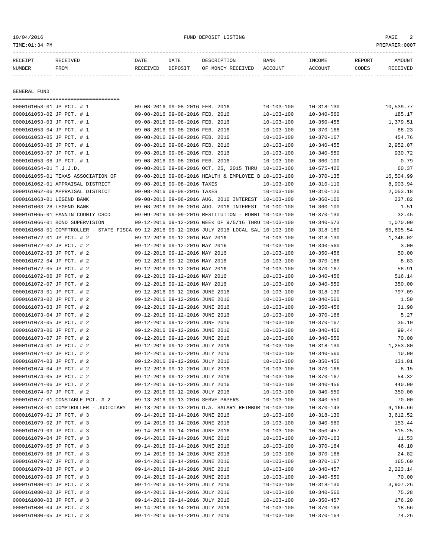# 10/04/2016 FUND DEPOSIT LISTING PAGE 2

| RECEIPT<br>NUMBER         | -----------------------------<br>RECEIVED<br>FROM                                            | DATE<br>RECEIVED | DATE<br>DEPOSIT                 | DESCRIPTION<br>OF MONEY RECEIVED                     | BANK<br>ACCOUNT  | INCOME<br>ACCOUNT | REPORT<br>CODES | AMOUNT<br>RECEIVED |
|---------------------------|----------------------------------------------------------------------------------------------|------------------|---------------------------------|------------------------------------------------------|------------------|-------------------|-----------------|--------------------|
|                           |                                                                                              |                  |                                 |                                                      |                  |                   |                 |                    |
| GENERAL FUND              |                                                                                              |                  |                                 |                                                      |                  |                   |                 |                    |
| 0000161053-01 JP PCT. # 1 | -----------------------------------                                                          |                  | 09-08-2016 09-08-2016 FEB. 2016 |                                                      | $10 - 103 - 100$ | $10 - 318 - 130$  |                 | 10,539.77          |
| 0000161053-02 JP PCT. # 1 |                                                                                              |                  | 09-08-2016 09-08-2016 FEB. 2016 |                                                      | $10 - 103 - 100$ | $10 - 340 - 560$  |                 | 185.17             |
| 0000161053-03 JP PCT. # 1 |                                                                                              |                  | 09-08-2016 09-08-2016 FEB. 2016 |                                                      | $10 - 103 - 100$ | $10 - 350 - 455$  |                 | 1,379.51           |
| 0000161053-04 JP PCT. # 1 |                                                                                              |                  | 09-08-2016 09-08-2016 FEB. 2016 |                                                      | $10 - 103 - 100$ | $10 - 370 - 166$  |                 | 68.23              |
| 0000161053-05 JP PCT. # 1 |                                                                                              |                  | 09-08-2016 09-08-2016 FEB. 2016 |                                                      | $10 - 103 - 100$ | $10 - 370 - 167$  |                 | 454.76             |
| 0000161053-06 JP PCT. # 1 |                                                                                              |                  | 09-08-2016 09-08-2016 FEB. 2016 |                                                      | $10 - 103 - 100$ | $10 - 340 - 455$  |                 | 2,952.07           |
| 0000161053-07 JP PCT. # 1 |                                                                                              |                  | 09-08-2016 09-08-2016 FEB. 2016 |                                                      | 10-103-100       | $10 - 340 - 550$  |                 | 930.72             |
| 0000161053-08 JP PCT. # 1 |                                                                                              |                  | 09-08-2016 09-08-2016 FEB. 2016 |                                                      | 10-103-100       | $10 - 360 - 100$  |                 | 0.79               |
| 0000161054-01 T.J.J.D.    |                                                                                              |                  |                                 | 09-08-2016 09-08-2016 OCT. 25, 2015 THRU 10-103-100  |                  | $10 - 575 - 420$  |                 | 60.37              |
|                           | 0000161055-01 TEXAS ASSOCIATION OF                                                           |                  |                                 | 09-08-2016 09-08-2016 HEALTH & EMPLOYEE B 10-103-100 |                  | $10 - 370 - 135$  |                 | 16,504.99          |
|                           | 0000161062-01 APPRAISAL DISTRICT                                                             |                  | 09-08-2016 09-08-2016 TAXES     |                                                      | 10-103-100       | $10 - 310 - 110$  |                 | 8,903.94           |
|                           | 0000161062-06 APPRAISAL DISTRICT                                                             |                  | 09-08-2016 09-08-2016 TAXES     |                                                      | $10 - 103 - 100$ | $10 - 310 - 120$  |                 | 2,053.18           |
| 0000161063-01 LEGEND BANK |                                                                                              |                  |                                 | 09-08-2016 09-08-2016 AUG. 2016 INTEREST 10-103-100  |                  | $10 - 360 - 100$  |                 | 237.82             |
| 0000161063-28 LEGEND BANK |                                                                                              |                  |                                 | 09-08-2016 09-08-2016 AUG. 2016 INTEREST 10-100-100  |                  | $10 - 360 - 100$  |                 | 1.51               |
|                           | 0000161065-01 FANNIN COUNTY CSCD                                                             |                  |                                 | 09-09-2016 09-09-2016 RESTITUTION - RONNI 10-103-100 |                  | $10 - 370 - 130$  |                 | 32.45              |
|                           | 0000161066-01 BOND SUPERVISION                                                               |                  |                                 | 09-12-2016 09-12-2016 WEEK OF 9/5/16 THRU 10-103-100 |                  | $10 - 340 - 573$  |                 | 1,070.00           |
|                           | 0000161068-01 COMPTROLLER - STATE FISCA 09-12-2016 09-12-2016 JULY 2016 LOCAL SAL 10-103-100 |                  |                                 |                                                      |                  | $10 - 318 - 160$  |                 | 65,695.54          |
| 0000161072-01 JP PCT. # 2 |                                                                                              |                  | 09-12-2016 09-12-2016 MAY 2016  |                                                      | $10 - 103 - 100$ | $10 - 318 - 130$  |                 | 1,346.02           |
| 0000161072-02 JP PCT. # 2 |                                                                                              |                  | 09-12-2016 09-12-2016 MAY 2016  |                                                      | 10-103-100       | $10 - 340 - 560$  |                 | 3.00               |
| 0000161072-03 JP PCT. # 2 |                                                                                              |                  | 09-12-2016 09-12-2016 MAY 2016  |                                                      | $10 - 103 - 100$ | $10 - 350 - 456$  |                 | 50.00              |
| 0000161072-04 JP PCT. # 2 |                                                                                              |                  | 09-12-2016 09-12-2016 MAY 2016  |                                                      | $10 - 103 - 100$ | $10 - 370 - 166$  |                 | 8.83               |
| 0000161072-05 JP PCT. # 2 |                                                                                              |                  | 09-12-2016 09-12-2016 MAY 2016  |                                                      | $10 - 103 - 100$ | $10 - 370 - 167$  |                 | 58.91              |
| 0000161072-06 JP PCT. # 2 |                                                                                              |                  | 09-12-2016 09-12-2016 MAY 2016  |                                                      | $10 - 103 - 100$ | $10 - 340 - 456$  |                 | 516.14             |
| 0000161072-07 JP PCT. # 2 |                                                                                              |                  | 09-12-2016 09-12-2016 MAY 2016  |                                                      | $10 - 103 - 100$ | $10 - 340 - 550$  |                 | 350.00             |
| 0000161073-01 JP PCT. # 2 |                                                                                              |                  | 09-12-2016 09-12-2016 JUNE 2016 |                                                      | $10 - 103 - 100$ | $10 - 318 - 130$  |                 | 797.09             |
| 0000161073-02 JP PCT. # 2 |                                                                                              |                  | 09-12-2016 09-12-2016 JUNE 2016 |                                                      | $10 - 103 - 100$ | $10 - 340 - 560$  |                 | 1.50               |
| 0000161073-03 JP PCT. # 2 |                                                                                              |                  | 09-12-2016 09-12-2016 JUNE 2016 |                                                      | $10 - 103 - 100$ | $10 - 350 - 456$  |                 | 31.90              |
| 0000161073-04 JP PCT. # 2 |                                                                                              |                  | 09-12-2016 09-12-2016 JUNE 2016 |                                                      | $10 - 103 - 100$ | $10 - 370 - 166$  |                 | 5.27               |
| 0000161073-05 JP PCT. # 2 |                                                                                              |                  | 09-12-2016 09-12-2016 JUNE 2016 |                                                      | $10 - 103 - 100$ | $10 - 370 - 167$  |                 | 35.10              |
| 0000161073-06 JP PCT. # 2 |                                                                                              |                  | 09-12-2016 09-12-2016 JUNE 2016 |                                                      | $10 - 103 - 100$ | $10 - 340 - 456$  |                 | 99.44              |
| 0000161073-07 JP PCT. # 2 |                                                                                              |                  | 09-12-2016 09-12-2016 JUNE 2016 |                                                      | $10 - 103 - 100$ | $10 - 340 - 550$  |                 | 70.00              |
| 0000161074-01 JP PCT. # 2 |                                                                                              |                  | 09-12-2016 09-12-2016 JULY 2016 |                                                      | $10 - 103 - 100$ | $10 - 318 - 130$  |                 | 1,253.80           |
| 0000161074-02 JP PCT. # 2 |                                                                                              |                  | 09-12-2016 09-12-2016 JULY 2016 |                                                      | $10 - 103 - 100$ | $10 - 340 - 560$  |                 | 10.00              |
| 0000161074-03 JP PCT. # 2 |                                                                                              |                  | 09-12-2016 09-12-2016 JULY 2016 |                                                      | $10 - 103 - 100$ | $10 - 350 - 456$  |                 | 131.01             |
| 0000161074-04 JP PCT. # 2 |                                                                                              |                  | 09-12-2016 09-12-2016 JULY 2016 |                                                      | $10 - 103 - 100$ | $10 - 370 - 166$  |                 | 8.15               |
| 0000161074-05 JP PCT. # 2 |                                                                                              |                  | 09-12-2016 09-12-2016 JULY 2016 |                                                      | $10 - 103 - 100$ | $10 - 370 - 167$  |                 | 54.32              |
| 0000161074-06 JP PCT. # 2 |                                                                                              |                  | 09-12-2016 09-12-2016 JULY 2016 |                                                      | $10 - 103 - 100$ | $10 - 340 - 456$  |                 | 440.09             |
| 0000161074-07 JP PCT. # 2 |                                                                                              |                  | 09-12-2016 09-12-2016 JULY 2016 |                                                      | $10 - 103 - 100$ | $10 - 340 - 550$  |                 | 350.00             |
|                           | 0000161077-01 CONSTABLE PCT. # 2                                                             |                  |                                 | 09-13-2016 09-13-2016 SERVE PAPERS                   | $10 - 103 - 100$ | $10 - 340 - 550$  |                 | 70.00              |
|                           | 0000161078-01 COMPTROLLER - JUDICIARY                                                        |                  |                                 | 09-13-2016 09-13-2016 D.A. SALARY REIMBUR 10-103-100 |                  | 10-370-143        |                 | 9,166.66           |
| 0000161079-01 JP PCT. # 3 |                                                                                              |                  | 09-14-2016 09-14-2016 JUNE 2016 |                                                      | $10 - 103 - 100$ | $10 - 318 - 130$  |                 | 3,612.52           |
| 0000161079-02 JP PCT. # 3 |                                                                                              |                  | 09-14-2016 09-14-2016 JUNE 2016 |                                                      | $10 - 103 - 100$ | $10 - 340 - 560$  |                 | 153.44             |
| 0000161079-03 JP PCT. # 3 |                                                                                              |                  | 09-14-2016 09-14-2016 JUNE 2016 |                                                      | $10 - 103 - 100$ | $10 - 350 - 457$  |                 | 515.25             |
| 0000161079-04 JP PCT. # 3 |                                                                                              |                  | 09-14-2016 09-14-2016 JUNE 2016 |                                                      | $10 - 103 - 100$ | $10 - 370 - 163$  |                 | 11.53              |
| 0000161079-05 JP PCT. # 3 |                                                                                              |                  | 09-14-2016 09-14-2016 JUNE 2016 |                                                      | $10 - 103 - 100$ | $10 - 370 - 164$  |                 | 46.10              |
| 0000161079-06 JP PCT. # 3 |                                                                                              |                  | 09-14-2016 09-14-2016 JUNE 2016 |                                                      | $10 - 103 - 100$ | $10 - 370 - 166$  |                 | 24.82              |
| 0000161079-07 JP PCT. # 3 |                                                                                              |                  | 09-14-2016 09-14-2016 JUNE 2016 |                                                      | $10 - 103 - 100$ | $10 - 370 - 167$  |                 | 165.60             |
| 0000161079-08 JP PCT. # 3 |                                                                                              |                  | 09-14-2016 09-14-2016 JUNE 2016 |                                                      | $10 - 103 - 100$ | $10 - 340 - 457$  |                 | 2,223.14           |
| 0000161079-09 JP PCT. # 3 |                                                                                              |                  | 09-14-2016 09-14-2016 JUNE 2016 |                                                      | $10 - 103 - 100$ | $10 - 340 - 550$  |                 | 70.00              |
| 0000161080-01 JP PCT. # 3 |                                                                                              |                  | 09-14-2016 09-14-2016 JULY 2016 |                                                      | $10 - 103 - 100$ | $10 - 318 - 130$  |                 | 3,907.26           |
| 0000161080-02 JP PCT. # 3 |                                                                                              |                  | 09-14-2016 09-14-2016 JULY 2016 |                                                      | $10 - 103 - 100$ | $10 - 340 - 560$  |                 | 75.28              |
| 0000161080-03 JP PCT. # 3 |                                                                                              |                  | 09-14-2016 09-14-2016 JULY 2016 |                                                      | $10 - 103 - 100$ | $10 - 350 - 457$  |                 | 176.20             |
| 0000161080-04 JP PCT. # 3 |                                                                                              |                  | 09-14-2016 09-14-2016 JULY 2016 |                                                      | $10 - 103 - 100$ | $10 - 370 - 163$  |                 | 18.56              |
| 0000161080-05 JP PCT. # 3 |                                                                                              |                  | 09-14-2016 09-14-2016 JULY 2016 |                                                      | $10 - 103 - 100$ | $10 - 370 - 164$  |                 | 74.26              |
|                           |                                                                                              |                  |                                 |                                                      |                  |                   |                 |                    |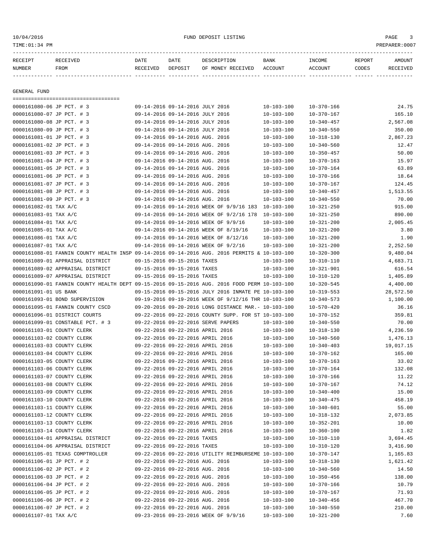| RECEIPT                    | RECEIVED                                                                                     | DATE     | DATE                             | DESCRIPTION                                                                                                  | BANK             | INCOME                         | REPORT | AMOUNT            |
|----------------------------|----------------------------------------------------------------------------------------------|----------|----------------------------------|--------------------------------------------------------------------------------------------------------------|------------------|--------------------------------|--------|-------------------|
| NUMBER                     | FROM                                                                                         | RECEIVED | DEPOSIT                          | OF MONEY RECEIVED                                                                                            | ACCOUNT          | ACCOUNT                        | CODES  | RECEIVED          |
| GENERAL FUND               |                                                                                              |          |                                  |                                                                                                              |                  |                                |        |                   |
|                            | =====================================                                                        |          |                                  |                                                                                                              |                  |                                |        |                   |
| 0000161080-06 JP PCT. # 3  |                                                                                              |          | 09-14-2016 09-14-2016 JULY 2016  |                                                                                                              | $10 - 103 - 100$ | $10 - 370 - 166$               |        | 24.75             |
| 0000161080-07 JP PCT. # 3  |                                                                                              |          | 09-14-2016 09-14-2016 JULY 2016  |                                                                                                              | $10 - 103 - 100$ | $10 - 370 - 167$               |        | 165.10            |
| 0000161080-08 JP PCT. # 3  |                                                                                              |          | 09-14-2016 09-14-2016 JULY 2016  |                                                                                                              | $10 - 103 - 100$ | $10 - 340 - 457$               |        | 2,567.08          |
| 0000161080-09 JP PCT. # 3  |                                                                                              |          | 09-14-2016 09-14-2016 JULY 2016  |                                                                                                              | $10 - 103 - 100$ | $10 - 340 - 550$               |        | 350.00            |
| 0000161081-01 JP PCT. # 3  |                                                                                              |          | 09-14-2016 09-14-2016 AUG. 2016  |                                                                                                              | $10 - 103 - 100$ | $10 - 318 - 130$               |        | 2,867.23          |
| 0000161081-02 JP PCT. # 3  |                                                                                              |          | 09-14-2016 09-14-2016 AUG. 2016  |                                                                                                              | $10 - 103 - 100$ | $10 - 340 - 560$               |        | 12.47             |
| 0000161081-03 JP PCT. # 3  |                                                                                              |          | 09-14-2016 09-14-2016 AUG. 2016  |                                                                                                              | $10 - 103 - 100$ | $10 - 350 - 457$               |        | 50.00             |
| 0000161081-04 JP PCT. # 3  |                                                                                              |          | 09-14-2016 09-14-2016 AUG. 2016  |                                                                                                              | $10 - 103 - 100$ | $10 - 370 - 163$               |        | 15.97             |
| 0000161081-05 JP PCT. # 3  |                                                                                              |          | 09-14-2016 09-14-2016 AUG. 2016  |                                                                                                              | $10 - 103 - 100$ | $10 - 370 - 164$               |        | 63.89             |
| 0000161081-06 JP PCT. # 3  |                                                                                              |          | 09-14-2016 09-14-2016 AUG. 2016  |                                                                                                              | $10 - 103 - 100$ | $10 - 370 - 166$               |        | 18.64             |
| 0000161081-07 JP PCT. # 3  |                                                                                              |          | 09-14-2016 09-14-2016 AUG. 2016  |                                                                                                              | $10 - 103 - 100$ | $10 - 370 - 167$               |        | 124.45            |
| 0000161081-08 JP PCT. # 3  |                                                                                              |          | 09-14-2016 09-14-2016 AUG. 2016  |                                                                                                              | 10-103-100       | $10 - 340 - 457$               |        | 1,513.55          |
| 0000161081-09 JP PCT. # 3  |                                                                                              |          | 09-14-2016 09-14-2016 AUG. 2016  |                                                                                                              | $10 - 103 - 100$ | $10 - 340 - 550$               |        | 70.00             |
| 0000161082-01 TAX A/C      |                                                                                              |          |                                  | 09-14-2016 09-14-2016 WEEK OF 9/9/16 183 10-103-100                                                          |                  | $10 - 321 - 250$               |        | 915.00            |
| 0000161083-01 TAX A/C      |                                                                                              |          |                                  | 09-14-2016 09-14-2016 WEEK OF 9/2/16 178                                                                     | 10-103-100       | $10 - 321 - 250$               |        | 890.00            |
| 0000161084-01 TAX A/C      |                                                                                              |          |                                  | 09-14-2016 09-14-2016 WEEK OF 9/9/16                                                                         | $10 - 103 - 100$ | $10 - 321 - 200$               |        | 2,005.45          |
| 0000161085-01 TAX A/C      |                                                                                              |          |                                  | 09-14-2016 09-14-2016 WEEK OF 8/19/16                                                                        | $10 - 103 - 100$ | $10 - 321 - 200$               |        | 3.80              |
| 0000161086-01 TAX A/C      |                                                                                              |          |                                  | 09-14-2016 09-14-2016 WEEK OF 8/12/16                                                                        | $10 - 103 - 100$ | $10 - 321 - 200$               |        | 1.90              |
| 0000161087-01 TAX A/C      |                                                                                              |          |                                  | 09-14-2016 09-14-2016 WEEK OF 9/2/16                                                                         | $10 - 103 - 100$ | $10 - 321 - 200$               |        | 2,252.50          |
|                            | 0000161088-01 FANNIN COUNTY HEALTH INSP 09-14-2016 09-14-2016 AUG. 2016 PERMITS & 10-103-100 |          |                                  |                                                                                                              |                  | $10 - 320 - 300$               |        | 9,480.04          |
|                            | 0000161089-01 APPRAISAL DISTRICT                                                             |          | 09-15-2016 09-15-2016 TAXES      |                                                                                                              | $10 - 103 - 100$ | $10 - 310 - 110$               |        | 4,683.71          |
|                            | 0000161089-02 APPRAISAL DISTRICT                                                             |          | 09-15-2016 09-15-2016 TAXES      |                                                                                                              | $10 - 103 - 100$ | $10 - 321 - 901$               |        | 616.54            |
|                            | 0000161089-07 APPRAISAL DISTRICT                                                             |          | 09-15-2016 09-15-2016 TAXES      |                                                                                                              | $10 - 103 - 100$ | $10 - 310 - 120$               |        | 1,405.89          |
|                            | 0000161090-01 FANNIN COUNTY HEALTH DEPT 09-15-2016 09-15-2016 AUG. 2016 FOOD PERM 10-103-100 |          |                                  |                                                                                                              |                  | $10 - 320 - 545$               |        | 4,400.00          |
| 0000161091-01 US BANK      |                                                                                              |          |                                  | 09-15-2016 09-15-2016 JULY 2016 INMATE PE 10-103-100<br>09-19-2016 09-19-2016 WEEK OF 9/12/16 THR 10-103-100 |                  | $10 - 319 - 553$               |        | 28,572.50         |
|                            | 0000161093-01 BOND SUPERVISION                                                               |          |                                  | 09-20-2016 09-20-2016 LONG DISTANCE MAR.- 10-103-100                                                         |                  | $10 - 340 - 573$               |        | 1,100.00<br>36.16 |
|                            | 0000161095-01 FANNIN COUNTY CSCD<br>0000161096-01 DISTRICT COURTS                            |          |                                  | 09-22-2016 09-22-2016 COUNTY SUPP. FOR ST 10-103-100                                                         |                  | 10-570-420<br>$10 - 370 - 152$ |        | 359.81            |
|                            | 0000161099-01 CONSTABLE PCT. # 3                                                             |          |                                  | 09-22-2016 09-22-2016 SERVE PAPERS                                                                           | $10 - 103 - 100$ | $10 - 340 - 550$               |        | 70.00             |
| 0000161103-01 COUNTY CLERK |                                                                                              |          |                                  | 09-22-2016 09-22-2016 APRIL 2016                                                                             | 10-103-100       | 10-318-130                     |        | 4,236.59          |
| 0000161103-02 COUNTY CLERK |                                                                                              |          |                                  | 09-22-2016 09-22-2016 APRIL 2016                                                                             | $10 - 103 - 100$ | $10 - 340 - 560$               |        | 1,476.13          |
| 0000161103-03 COUNTY CLERK |                                                                                              |          |                                  | 09-22-2016 09-22-2016 APRIL 2016                                                                             | $10 - 103 - 100$ | $10 - 340 - 403$               |        | 19,017.15         |
| 0000161103-04 COUNTY CLERK |                                                                                              |          |                                  | 09-22-2016 09-22-2016 APRIL 2016                                                                             | $10 - 103 - 100$ | $10 - 370 - 162$               |        | 165.00            |
| 0000161103-05 COUNTY CLERK |                                                                                              |          |                                  | 09-22-2016 09-22-2016 APRIL 2016                                                                             | $10 - 103 - 100$ | $10 - 370 - 163$               |        | 33.02             |
| 0000161103-06 COUNTY CLERK |                                                                                              |          | 09-22-2016 09-22-2016 APRIL 2016 |                                                                                                              | $10 - 103 - 100$ | $10 - 370 - 164$               |        | 132.08            |
| 0000161103-07 COUNTY CLERK |                                                                                              |          |                                  | 09-22-2016 09-22-2016 APRIL 2016                                                                             | $10 - 103 - 100$ | $10 - 370 - 166$               |        | 11.22             |
| 0000161103-08 COUNTY CLERK |                                                                                              |          |                                  | 09-22-2016 09-22-2016 APRIL 2016                                                                             | $10 - 103 - 100$ | $10 - 370 - 167$               |        | 74.12             |
| 0000161103-09 COUNTY CLERK |                                                                                              |          |                                  | 09-22-2016 09-22-2016 APRIL 2016                                                                             | $10 - 103 - 100$ | $10 - 340 - 400$               |        | 15.00             |
| 0000161103-10 COUNTY CLERK |                                                                                              |          |                                  | 09-22-2016 09-22-2016 APRIL 2016                                                                             | $10 - 103 - 100$ | $10 - 340 - 475$               |        | 458.19            |
| 0000161103-11 COUNTY CLERK |                                                                                              |          |                                  | 09-22-2016 09-22-2016 APRIL 2016                                                                             | $10 - 103 - 100$ | $10 - 340 - 601$               |        | 55.00             |
| 0000161103-12 COUNTY CLERK |                                                                                              |          |                                  | 09-22-2016 09-22-2016 APRIL 2016                                                                             | $10 - 103 - 100$ | 10-318-132                     |        | 2,073.85          |
| 0000161103-13 COUNTY CLERK |                                                                                              |          |                                  | 09-22-2016 09-22-2016 APRIL 2016                                                                             | $10 - 103 - 100$ | $10 - 352 - 201$               |        | 10.00             |
| 0000161103-14 COUNTY CLERK |                                                                                              |          | 09-22-2016 09-22-2016 APRIL 2016 |                                                                                                              | $10 - 103 - 100$ | $10 - 360 - 100$               |        | 1.82              |
|                            | 0000161104-01 APPRAISAL DISTRICT                                                             |          | 09-22-2016 09-22-2016 TAXES      |                                                                                                              | $10 - 103 - 100$ | $10 - 310 - 110$               |        | 3,694.45          |
|                            | 0000161104-06 APPRAISAL DISTRICT                                                             |          | 09-22-2016 09-22-2016 TAXES      |                                                                                                              | $10 - 103 - 100$ | $10 - 310 - 120$               |        | 3,416.90          |
|                            | 0000161105-01 TEXAS COMPTROLLER                                                              |          |                                  | 09-22-2016 09-22-2016 UTILITY REIMBURSEME 10-103-100                                                         |                  | 10-370-147                     |        | 1,165.83          |
| 0000161106-01 JP PCT. # 2  |                                                                                              |          | 09-22-2016 09-22-2016 AUG. 2016  |                                                                                                              | $10 - 103 - 100$ | $10 - 318 - 130$               |        | 1,621.42          |
| 0000161106-02 JP PCT. # 2  |                                                                                              |          | 09-22-2016 09-22-2016 AUG. 2016  |                                                                                                              | 10-103-100       | $10 - 340 - 560$               |        | 14.50             |
| 0000161106-03 JP PCT. # 2  |                                                                                              |          | 09-22-2016 09-22-2016 AUG. 2016  |                                                                                                              | 10-103-100       | $10 - 350 - 456$               |        | 138.00            |
| 0000161106-04 JP PCT. # 2  |                                                                                              |          | 09-22-2016 09-22-2016 AUG. 2016  |                                                                                                              | $10 - 103 - 100$ | $10 - 370 - 166$               |        | 10.79             |
| 0000161106-05 JP PCT. # 2  |                                                                                              |          | 09-22-2016 09-22-2016 AUG. 2016  |                                                                                                              | $10 - 103 - 100$ | $10 - 370 - 167$               |        | 71.93             |
| 0000161106-06 JP PCT. # 2  |                                                                                              |          | 09-22-2016 09-22-2016 AUG. 2016  |                                                                                                              | $10 - 103 - 100$ | $10 - 340 - 456$               |        | 467.70            |

0000161106-07 JP PCT. # 2 09-22-2016 09-22-2016 AUG. 2016 10-103-100 10-340-550 210.00 0000161107-01 TAX A/C 09-23-2016 09-23-2016 WEEK OF 9/9/16 10-103-100 10-321-200 7.60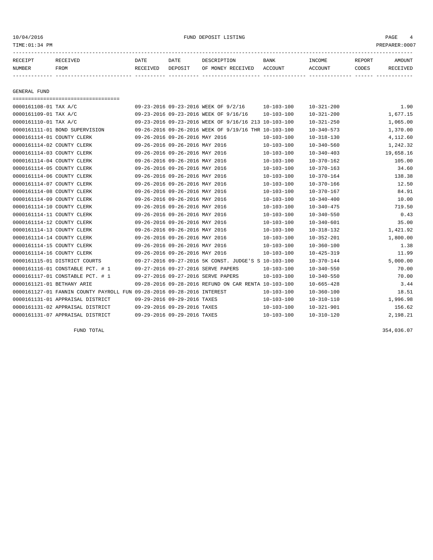10/04/2016 FUND DEPOSIT LISTING PAGE 4

| RECEIPT | <b>RECEIVED</b> | DATE            | DATE    | DESCRIPTION       | <b>BANK</b> | <b>TNCOME</b> | REPORT | <b>AMOUNT</b> |
|---------|-----------------|-----------------|---------|-------------------|-------------|---------------|--------|---------------|
| NUMBER  | FROM            | <b>RECEIVED</b> | DEPOSIT | OF MONEY RECEIVED | ACCOUNT     | ACCOUNT       | CODES  | I VED         |
|         |                 |                 |         |                   |             |               |        |               |

GENERAL FUND

=================================== 0000161108-01 TAX A/C 09-23-2016 09-23-2016 WEEK OF 9/2/16 10-103-100 10-321-200 1.90 0000161109-01 TAX A/C 09-23-2016 09-23-2016 09-23-2016 WEEK OF 9/16/16 10-103-100 10-321-200 1,677.15 0000161110-01 TAX A/C 09-23-2016 09-23-2016 WEEK OF 9/16/16 213 10-103-100 10-321-250 1,065.00 0000161111-01 BOND SUPERVISION 09-26-2016 09-26-2016 WEEK OF 9/19/16 THR 10-103-100 10-340-573 1,370.00 0000161114-01 COUNTY CLERK 09-26-2016 09-26-2016 MAY 2016 10-103-100 10-318-130 4,112.60 0000161114-02 COUNTY CLERK 09-26-2016 09-26-2016 MAY 2016 10-103-100 10-340-560 1,242.32 0000161114-03 COUNTY CLERK 09-26-2016 09-26-2016 MAY 2016 10-103-100 10-340-403 19,658.16 0000161114-04 COUNTY CLERK 09-26-2016 09-26-2016 MAY 2016 10-103-100 10-370-162 105.00 0000161114-05 COUNTY CLERK 09-26-2016 09-26-2016 MAY 2016 10-103-100 10-370-163 34.60 0000161114-06 COUNTY CLERK 09-26-2016 09-26-2016 MAY 2016 10-103-100 10-370-164 138.38 0000161114-07 COUNTY CLERK 09-26-2016 09-26-2016 MAY 2016 10-103-100 10-370-166 12.50 0000161114-08 COUNTY CLERK 09-26-2016 09-26-2016 MAY 2016 10-103-100 10-370-167 84.91 0000161114-09 COUNTY CLERK 09-26-2016 09-26-2016 MAY 2016 10-103-100 10-340-400 10-0340-400 0000161114-10 COUNTY CLERK 09-26-2016 09-26-2016 MAY 2016 10-103-100 10-340-475 719.50 0000161114-11 COUNTY CLERK 09-26-2016 09-26-2016 MAY 2016 10-103-100 10-340-550 0.43 0000161114-12 COUNTY CLERK 09-26-2016 09-26-2016 MAY 2016 10-103-100 10-340-601 35.00 0000161114-13 COUNTY CLERK 09-26-2016 09-26-2016 MAY 2016 10-103-100 10-318-132 1,421.92 0000161114-14 COUNTY CLERK 09-26-2016 09-26-2016 MAY 2016 10-103-100 10-352-201 1,800.00 0000161114-15 COUNTY CLERK 09-26-2016 09-26-2016 MAY 2016 10-103-100 10-360-100 10-360-100 1.38 0000161114-16 COUNTY CLERK 09-26-2016 09-26-2016 MAY 2016 10-103-100 10-425-319 11.99 0000161115-01 DISTRICT COURTS 09-27-2016 09-27-2016 5K CONST. JUDGE'S S 10-103-100 10-370-144 5,000.00 0000161116-01 CONSTABLE PCT. # 1 09-27-2016 09-27-2016 SERVE PAPERS 10-103-100 10-340-550 70.00 0000161117-01 CONSTABLE PCT. # 1 09-27-2016 09-27-2016 SERVE PAPERS 10-103-100 10-340-550 70.00 0000161121-01 BETHANY ARIE 09-28-2016 09-28-2016 REFUND ON CAR RENTA 10-103-100 10-665-428 3.44 0000161127-01 FANNIN COUNTY PAYROLL FUN 09-28-2016 09-28-2016 INTEREST 10-103-100 10-360-100 18.51 0000161131-01 APPRAISAL DISTRICT 09-29-2016 09-29-2016 TAXES 10-103-100 10-310-110 1,996.98 0000161131-02 APPRAISAL DISTRICT 09-29-2016 09-29-2016 TAXES 10-103-100 10-321-901 156.62 0000161131-07 APPRAISAL DISTRICT 09-29-2016 09-29-2016 TAXES 10-103-100 10-310-120 2,198.21

FUND TOTAL 354,036.07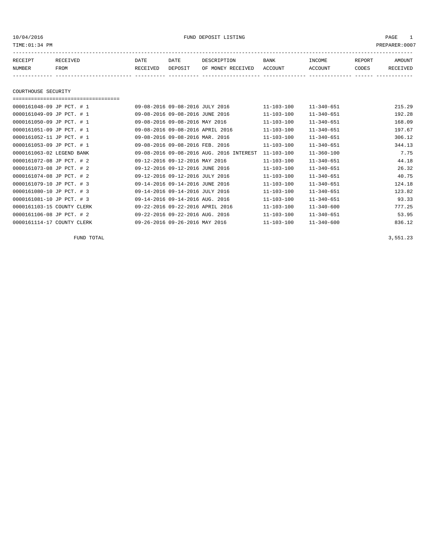# 10/04/2016 FUND DEPOSIT LISTING PAGE 1

| RECEIPT | RECEIVED | DATE     | DATE    | DESCRIPTION       | <b>BANK</b> | <b>TNCOME</b> | <b>REPORT</b> | AMOUNT          |
|---------|----------|----------|---------|-------------------|-------------|---------------|---------------|-----------------|
| NUMBER  | FROM     | RECEIVED | DEPOSIT | OF MONEY RECEIVED | ACCOUNT     | ACCOUNT       | CODES         | <b>RECEIVED</b> |
|         |          |          |         |                   |             |               |               |                 |

### COURTHOUSE SECURITY

#### ===================================

| 0000161048-09 JP PCT. # 1  | 09-08-2016 09-08-2016 JULY 2016          | $11 - 103 - 100$ | $11 - 340 - 651$ | 215.29 |
|----------------------------|------------------------------------------|------------------|------------------|--------|
| 0000161049-09 JP PCT. # 1  | 09-08-2016 09-08-2016 JUNE 2016          | $11 - 103 - 100$ | $11 - 340 - 651$ | 192.28 |
| 0000161050-09 JP PCT. # 1  | 09-08-2016 09-08-2016 MAY 2016           | $11 - 103 - 100$ | $11 - 340 - 651$ | 168.09 |
| 0000161051-09 JP PCT. # 1  | 09-08-2016 09-08-2016 APRIL 2016         | $11 - 103 - 100$ | $11 - 340 - 651$ | 197.67 |
| 0000161052-11 JP PCT. # 1  | 09-08-2016 09-08-2016 MAR. 2016          | $11 - 103 - 100$ | $11 - 340 - 651$ | 306.12 |
| 0000161053-09 JP PCT. # 1  | 09-08-2016 09-08-2016 FEB. 2016          | $11 - 103 - 100$ | $11 - 340 - 651$ | 344.13 |
| 0000161063-02 LEGEND BANK  | 09-08-2016 09-08-2016 AUG. 2016 INTEREST | $11 - 103 - 100$ | $11 - 360 - 100$ | 7.75   |
| 0000161072-08 JP PCT. # 2  | 09-12-2016 09-12-2016 MAY 2016           | $11 - 103 - 100$ | $11 - 340 - 651$ | 44.18  |
| 0000161073-08 JP PCT. # 2  | 09-12-2016 09-12-2016 JUNE 2016          | $11 - 103 - 100$ | $11 - 340 - 651$ | 26.32  |
| 0000161074-08 JP PCT. # 2  | 09-12-2016 09-12-2016 JULY 2016          | $11 - 103 - 100$ | $11 - 340 - 651$ | 40.75  |
| 0000161079-10 JP PCT. # 3  | 09-14-2016 09-14-2016 JUNE 2016          | $11 - 103 - 100$ | $11 - 340 - 651$ | 124.18 |
| 0000161080-10 JP PCT. # 3  | 09-14-2016 09-14-2016 JULY 2016          | $11 - 103 - 100$ | $11 - 340 - 651$ | 123.82 |
| 0000161081-10 JP PCT. # 3  | 09-14-2016 09-14-2016 AUG. 2016          | $11 - 103 - 100$ | $11 - 340 - 651$ | 93.33  |
| 0000161103-15 COUNTY CLERK | 09-22-2016 09-22-2016 APRIL 2016         | $11 - 103 - 100$ | $11 - 340 - 600$ | 777.25 |
| 0000161106-08 JP PCT. # 2  | 09-22-2016 09-22-2016 AUG. 2016          | $11 - 103 - 100$ | $11 - 340 - 651$ | 53.95  |
| 0000161114-17 COUNTY CLERK | 09-26-2016 09-26-2016 MAY 2016           | $11 - 103 - 100$ | $11 - 340 - 600$ | 836.12 |
|                            |                                          |                  |                  |        |

FUND TOTAL  $3,551.23$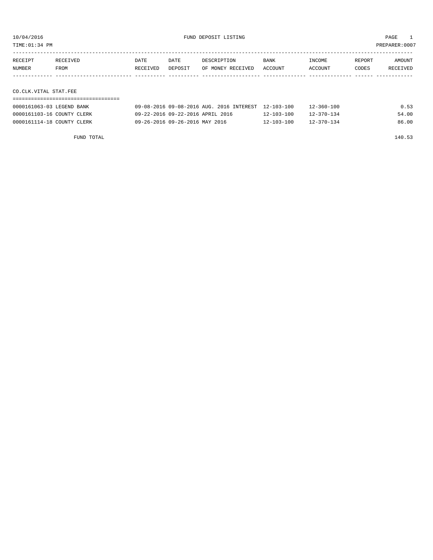TIME:01:34 PM PREPARER:0007

| RECEIPT | <b>RECEIVED</b> | DATE     | DATE    | DESCRIPTION       | <b>BANK</b> | INCOME  | REPORT | AMOUNT   |
|---------|-----------------|----------|---------|-------------------|-------------|---------|--------|----------|
| NUMBER  | FROM            | RECEIVED | DEPOSIT | OF MONEY RECEIVED | ACCOUNT     | ACCOUNT | CODES  | RECEIVED |
|         |                 |          |         |                   |             |         |        |          |
|         |                 |          |         |                   |             |         |        |          |

CO.CLK.VITAL STAT.FEE

| 0000161063-03 LEGEND BANK  | 09-08-2016 09-08-2016 AUG. 2016 INTEREST 12-103-100 |                  | $12 - 360 - 100$ | 0.53  |
|----------------------------|-----------------------------------------------------|------------------|------------------|-------|
| 0000161103-16 COUNTY CLERK | 09-22-2016 09-22-2016 APRIL 2016                    | $12 - 103 - 100$ | $12 - 370 - 134$ | 54.00 |
| 0000161114-18 COUNTY CLERK | 09-26-2016 09-26-2016 MAY 2016                      | $12 - 103 - 100$ | $12 - 370 - 134$ | 86.00 |

FUND TOTAL 140.53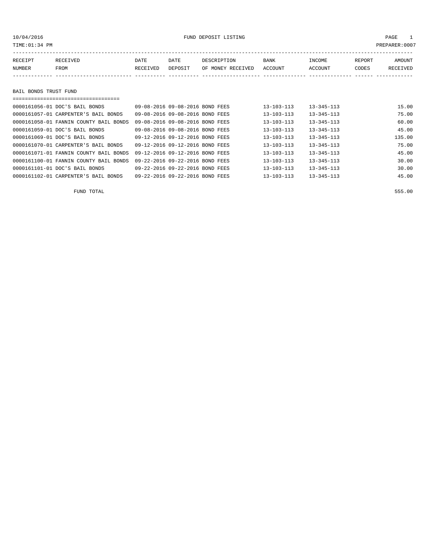# 10/04/2016 FUND DEPOSIT LISTING PAGE 1

| RECEIPT | RECEIVED | DATE     | DATE | DESCRIPTION                       | BANK | INCOME  | REPORT | AMOUNT   |
|---------|----------|----------|------|-----------------------------------|------|---------|--------|----------|
| NUMBER  | FROM     | RECEIVED |      | DEPOSIT OF MONEY RECEIVED ACCOUNT |      | ACCOUNT | CODES  | RECEIVED |
|         |          |          |      |                                   |      |         |        |          |
|         |          |          |      |                                   |      |         |        |          |

# BAIL BONDS TRUST FUND

| 0000161056-01 DOC'S BAIL BONDS         | 09-08-2016 09-08-2016 BOND FEES | $13 - 103 - 113$ | $13 - 345 - 113$ | 15.00  |
|----------------------------------------|---------------------------------|------------------|------------------|--------|
| 0000161057-01 CARPENTER'S BAIL BONDS   | 09-08-2016 09-08-2016 BOND FEES | $13 - 103 - 113$ | $13 - 345 - 113$ | 75.00  |
| 0000161058-01 FANNIN COUNTY BAIL BONDS | 09-08-2016 09-08-2016 BOND FEES | $13 - 103 - 113$ | $13 - 345 - 113$ | 60.00  |
| 0000161059-01 DOC'S BAIL BONDS         | 09-08-2016 09-08-2016 BOND FEES | $13 - 103 - 113$ | $13 - 345 - 113$ | 45.00  |
| 0000161069-01 DOC'S BAIL BONDS         | 09-12-2016 09-12-2016 BOND FEES | $13 - 103 - 113$ | $13 - 345 - 113$ | 135.00 |
| 0000161070-01 CARPENTER'S BAIL BONDS   | 09-12-2016 09-12-2016 BOND FEES | $13 - 103 - 113$ | $13 - 345 - 113$ | 75.00  |
| 0000161071-01 FANNIN COUNTY BAIL BONDS | 09-12-2016 09-12-2016 BOND FEES | $13 - 103 - 113$ | $13 - 345 - 113$ | 45.00  |
| 0000161100-01 FANNIN COUNTY BAIL BONDS | 09-22-2016 09-22-2016 BOND FEES | $13 - 103 - 113$ | $13 - 345 - 113$ | 30.00  |
| 0000161101-01 DOC'S BAIL BONDS         | 09-22-2016 09-22-2016 BOND FEES | $13 - 103 - 113$ | $13 - 345 - 113$ | 30.00  |
| 0000161102-01 CARPENTER'S BAIL BONDS   | 09-22-2016 09-22-2016 BOND FEES | $13 - 103 - 113$ | $13 - 345 - 113$ | 45.00  |

FUND TOTAL 555.00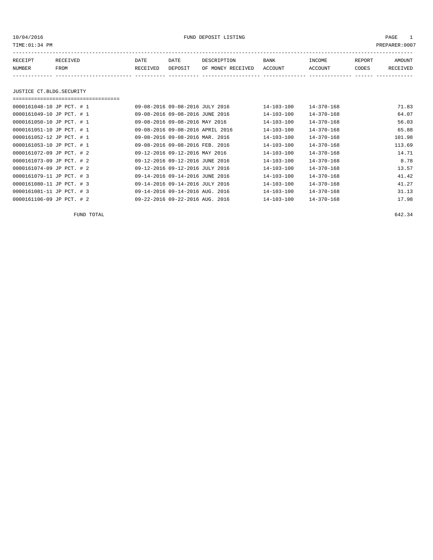10/04/2016 FUND DEPOSIT LISTING PAGE 1

| RECEIPT | RECEIVED                  | DATE     | DATE                            | DESCRIPTION       | <b>BANK</b>      | INCOME           | REPORT | AMOUNT   |
|---------|---------------------------|----------|---------------------------------|-------------------|------------------|------------------|--------|----------|
| NUMBER  | FROM                      | RECEIVED | DEPOSIT                         | OF MONEY RECEIVED | ACCOUNT          | ACCOUNT          | CODES  | RECEIVED |
|         |                           |          |                                 |                   |                  |                  |        |          |
|         |                           |          |                                 |                   |                  |                  |        |          |
|         | JUSTICE CT.BLDG.SECURITY  |          |                                 |                   |                  |                  |        |          |
|         |                           |          |                                 |                   |                  |                  |        |          |
|         | 0000161048-10 JP PCT. # 1 |          | 09-08-2016 09-08-2016 JULY 2016 |                   | $14 - 103 - 100$ | $14 - 370 - 168$ |        | 71.83    |

| 0000161049-10 JP PCT. # 1 | 09-08-2016 09-08-2016 JUNE 2016  | $14 - 103 - 100$ | $14 - 370 - 168$ | 64.07  |
|---------------------------|----------------------------------|------------------|------------------|--------|
| 0000161050-10 JP PCT. # 1 | 09-08-2016 09-08-2016 MAY 2016   | 14-103-100       | $14 - 370 - 168$ | 56.03  |
| 0000161051-10 JP PCT. # 1 | 09-08-2016 09-08-2016 APRIL 2016 | $14 - 103 - 100$ | $14 - 370 - 168$ | 65.88  |
| 0000161052-12 JP PCT. # 1 | 09-08-2016 09-08-2016 MAR. 2016  | $14 - 103 - 100$ | $14 - 370 - 168$ | 101.98 |
| 0000161053-10 JP PCT. # 1 | 09-08-2016 09-08-2016 FEB. 2016  | $14 - 103 - 100$ | $14 - 370 - 168$ | 113.69 |
| 0000161072-09 JP PCT. # 2 | 09-12-2016 09-12-2016 MAY 2016   | $14 - 103 - 100$ | $14 - 370 - 168$ | 14.71  |
| 0000161073-09 JP PCT. # 2 | 09-12-2016 09-12-2016 JUNE 2016  | $14 - 103 - 100$ | $14 - 370 - 168$ | 8.78   |
| 0000161074-09 JP PCT. # 2 | 09-12-2016 09-12-2016 JULY 2016  | 14-103-100       | $14 - 370 - 168$ | 13.57  |
| 0000161079-11 JP PCT. # 3 | 09-14-2016 09-14-2016 JUNE 2016  | $14 - 103 - 100$ | $14 - 370 - 168$ | 41.42  |
| 0000161080-11 JP PCT. # 3 | 09-14-2016 09-14-2016 JULY 2016  | $14 - 103 - 100$ | $14 - 370 - 168$ | 41.27  |
| 0000161081-11 JP PCT. # 3 | 09-14-2016 09-14-2016 AUG. 2016  | $14 - 103 - 100$ | $14 - 370 - 168$ | 31.13  |
| 0000161106-09 JP PCT. # 2 | 09-22-2016 09-22-2016 AUG. 2016  | $14 - 103 - 100$ | $14 - 370 - 168$ | 17.98  |

FUND TOTAL 642.34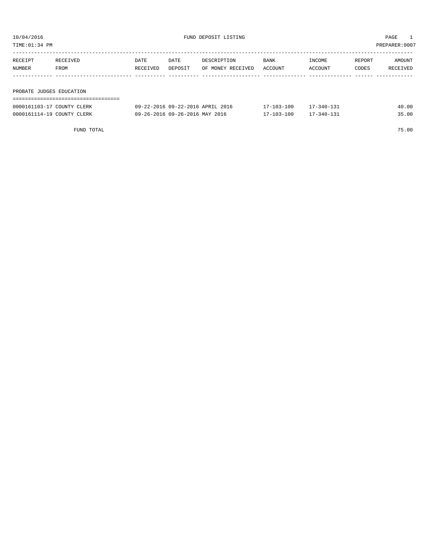TIME:01:34 PM PREPARER:0007

| RECEIPT                  | RECEIVED | DATE     | DATE    | DESCRIPTION       | <b>BANK</b> | INCOME  | REPORT | AMOUNT   |
|--------------------------|----------|----------|---------|-------------------|-------------|---------|--------|----------|
| NUMBER                   | FROM     | RECEIVED | DEPOSIT | OF MONEY RECEIVED | ACCOUNT     | ACCOUNT | CODES  | RECEIVED |
|                          |          |          |         |                   |             |         |        |          |
|                          |          |          |         |                   |             |         |        |          |
| PROBATE JUDGES EDUCATION |          |          |         |                   |             |         |        |          |

| -------------------------- |                                  |                  |            |       |
|----------------------------|----------------------------------|------------------|------------|-------|
| 0000161103-17 COUNTY CLERK | 09-22-2016 09-22-2016 APRIL 2016 | $17 - 103 - 100$ | 17-340-131 | 40.00 |
| 0000161114-19 COUNTY CLERK | 09-26-2016 09-26-2016 MAY 2016   | $17 - 103 - 100$ | 17-340-131 | 35.00 |

FUND TOTAL 75.00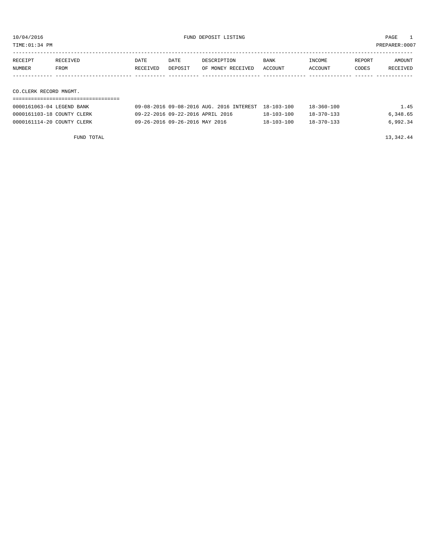TIME:01:34 PM PREPARER:0007

| RECEIPT                | RECEIVED | DATE     | DATE    | DESCRIPTION       | BANK    | INCOME  | REPORT | AMOUNT   |
|------------------------|----------|----------|---------|-------------------|---------|---------|--------|----------|
| NUMBER                 | FROM     | RECEIVED | DEPOSIT | OF MONEY RECEIVED | ACCOUNT | ACCOUNT | CODES  | RECEIVED |
|                        |          |          |         |                   |         |         |        |          |
|                        |          |          |         |                   |         |         |        |          |
| CO.CLERK RECORD MNGMT. |          |          |         |                   |         |         |        |          |

===================================

| 0000161063-04 LEGEND BANK  | 09-08-2016 09-08-2016 AUG. 2016 INTEREST 18-103-100 |                  | $18 - 360 - 100$ | 1.45     |
|----------------------------|-----------------------------------------------------|------------------|------------------|----------|
| 0000161103-18 COUNTY CLERK | 09-22-2016 09-22-2016 APRIL 2016                    | $18 - 103 - 100$ | $18 - 370 - 133$ | 6,348.65 |
| 0000161114-20 COUNTY CLERK | 09-26-2016 09-26-2016 MAY 2016                      | $18 - 103 - 100$ | $18 - 370 - 133$ | 6,992.34 |

FUND TOTAL 13,342.44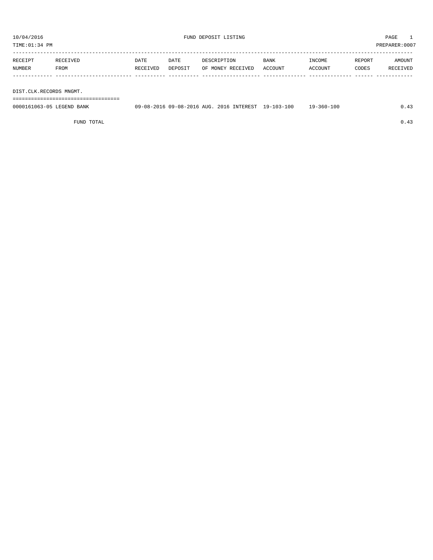TIME:01:34 PM PREPARER:0007

| RECEIPT | RECEIVED | DATE     | DATE    | DESCRIPTION       | <b>BANK</b> | INCOME  | REPORT | AMOUNT   |
|---------|----------|----------|---------|-------------------|-------------|---------|--------|----------|
| NUMBER  | FROM     | RECEIVED | DEPOSIT | OF MONEY RECEIVED | ACCOUNT     | ACCOUNT | CODES  | RECEIVED |
|         |          |          |         |                   |             |         |        |          |

DIST.CLK.RECORDS MNGMT.

===================================

| 0000161063-05 LEGEND BANK | 09-08-2016 09-08-2016 AUG. 2016 INTEREST 19-103-100 |  | $19 - 360 - 100$ | 0.43 |
|---------------------------|-----------------------------------------------------|--|------------------|------|
|                           |                                                     |  |                  |      |

FUND TOTAL  $0.43$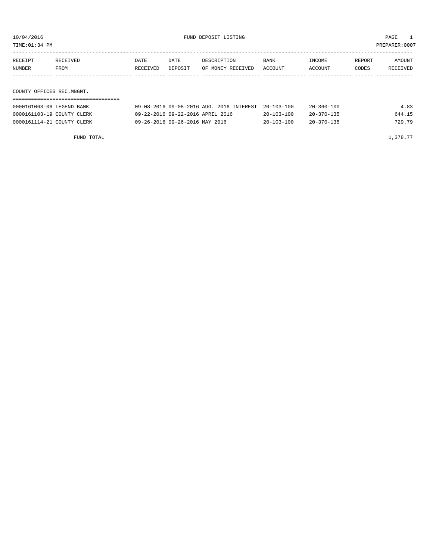TIME:01:34 PM PREPARER:0007

| RECEIPT | RECEIVED | DATE     | DATE    | DESCRIPTION       | BANK    | INCOME  | REPORT | AMOUNT   |
|---------|----------|----------|---------|-------------------|---------|---------|--------|----------|
| NUMBER  | FROM     | RECEIVED | DEPOSIT | OF MONEY RECEIVED | ACCOUNT | ACCOUNT | CODES  | RECEIVED |
|         |          |          |         |                   |         |         |        |          |
|         |          |          |         |                   |         |         |        |          |

COUNTY OFFICES REC.MNGMT. ===================================

| 0000161063-06 LEGEND BANK  | 09-08-2016 09-08-2016 AUG. 2016 INTEREST 20-103-100 |                  | $20 - 360 - 100$ | 4.83   |
|----------------------------|-----------------------------------------------------|------------------|------------------|--------|
| 0000161103-19 COUNTY CLERK | 09-22-2016 09-22-2016 APRIL 2016                    | $20 - 103 - 100$ | $20 - 370 - 135$ | 644.15 |
| 0000161114-21 COUNTY CLERK | 09-26-2016 09-26-2016 MAY 2016                      | $20 - 103 - 100$ | $20 - 370 - 135$ | 729.79 |

FUND TOTAL  $1,378.77$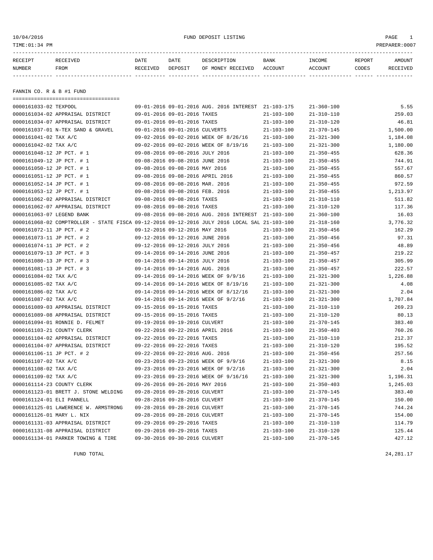| 10/04/2016<br>TIME: 01:34 PM                                                                                                                                                                                                                                                                                                                                                                                                                                                                                    |                                                                                               |                                                                                                                                                                                                          | FUND DEPOSIT LISTING                                                                                                                                                                                                                                            |                                                                                                                                                                                                                                                                  |                                                                                                                                                                                                                                                                                                          |                 | PAGE<br>$\mathbf{1}$<br>PREPARER:0007                                                                                                                  |
|-----------------------------------------------------------------------------------------------------------------------------------------------------------------------------------------------------------------------------------------------------------------------------------------------------------------------------------------------------------------------------------------------------------------------------------------------------------------------------------------------------------------|-----------------------------------------------------------------------------------------------|----------------------------------------------------------------------------------------------------------------------------------------------------------------------------------------------------------|-----------------------------------------------------------------------------------------------------------------------------------------------------------------------------------------------------------------------------------------------------------------|------------------------------------------------------------------------------------------------------------------------------------------------------------------------------------------------------------------------------------------------------------------|----------------------------------------------------------------------------------------------------------------------------------------------------------------------------------------------------------------------------------------------------------------------------------------------------------|-----------------|--------------------------------------------------------------------------------------------------------------------------------------------------------|
| RECEIPT<br>RECEIVED<br>NUMBER<br>FROM                                                                                                                                                                                                                                                                                                                                                                                                                                                                           | DATE<br>RECEIVED DEPOSIT                                                                      | DATE                                                                                                                                                                                                     | DESCRIPTION<br>OF MONEY RECEIVED ACCOUNT                                                                                                                                                                                                                        | BANK                                                                                                                                                                                                                                                             | INCOME<br>ACCOUNT                                                                                                                                                                                                                                                                                        | REPORT<br>CODES | AMOUNT<br>RECEIVED                                                                                                                                     |
| FANNIN CO. R & B #1 FUND                                                                                                                                                                                                                                                                                                                                                                                                                                                                                        |                                                                                               |                                                                                                                                                                                                          |                                                                                                                                                                                                                                                                 |                                                                                                                                                                                                                                                                  |                                                                                                                                                                                                                                                                                                          |                 |                                                                                                                                                        |
| ====================================<br>0000161033-02 TEXPOOL<br>0000161034-02 APPRAISAL DISTRICT<br>0000161034-07 APPRAISAL DISTRICT<br>0000161037-01 N-TEX SAND & GRAVEL<br>0000161041-02 TAX A/C<br>0000161042-02 TAX A/C<br>0000161048-12 JP PCT. # 1<br>0000161049-12 JP PCT. # 1<br>0000161050-12 JP PCT. # 1<br>0000161051-12 JP PCT. # 1<br>0000161052-14 JP PCT. # 1<br>0000161053-12 JP PCT. # 1<br>0000161062-02 APPRAISAL DISTRICT<br>0000161062-07 APPRAISAL DISTRICT<br>0000161063-07 LEGEND BANK | 09-01-2016 09-01-2016 TAXES<br>09-08-2016 09-08-2016 MAR. 2016<br>09-08-2016 09-08-2016 TAXES | 09-01-2016 09-01-2016 TAXES<br>09-01-2016 09-01-2016 CULVERTS<br>09-08-2016 09-08-2016 JULY 2016<br>09-08-2016 09-08-2016 JUNE 2016<br>09-08-2016 09-08-2016 MAY 2016<br>09-08-2016 09-08-2016 FEB. 2016 | 09-01-2016 09-01-2016 AUG. 2016 INTEREST 21-103-175<br>09-02-2016 09-02-2016 WEEK OF 8/26/16<br>09-02-2016 09-02-2016 WEEK OF 8/19/16<br>09-08-2016 09-08-2016 APRIL 2016<br>09-08-2016 09-08-2016 TAXES<br>09-08-2016 09-08-2016 AUG. 2016 INTEREST 21-103-100 | $21 - 103 - 100$<br>$21 - 103 - 100$<br>$21 - 103 - 100$<br>$21 - 103 - 100$<br>$21 - 103 - 100$<br>$21 - 103 - 100$<br>$21 - 103 - 100$<br>$21 - 103 - 100$<br>$21 - 103 - 100$<br>$21 - 103 - 100$<br>$21 - 103 - 100$<br>$21 - 103 - 100$<br>$21 - 103 - 100$ | $21 - 360 - 100$<br>$21 - 310 - 110$<br>$21 - 310 - 120$<br>$21 - 370 - 145$<br>$21 - 321 - 300$<br>$21 - 321 - 300$<br>$21 - 350 - 455$<br>$21 - 350 - 455$<br>$21 - 350 - 455$<br>$21 - 350 - 455$<br>$21 - 350 - 455$<br>$21 - 350 - 455$<br>$21 - 310 - 110$<br>$21 - 310 - 120$<br>$21 - 360 - 100$ |                 | 5.55<br>259.03<br>46.81<br>1,500.00<br>1,184.08<br>1,180.00<br>628.36<br>744.91<br>557.67<br>860.57<br>972.59<br>1,213.97<br>511.82<br>117.36<br>16.03 |
| 0000161068-02 COMPTROLLER - STATE FISCA 09-12-2016 09-12-2016 JULY 2016 LOCAL SAL 21-103-100<br>0000161072-11 JP PCT. # 2<br>0000161073-11 JP PCT. # 2<br>0000161074-11 JP PCT. # 2<br>0000161079-13 JP PCT. # 3<br>0000161080-13 JP PCT. # 3<br>0000161081-13 JP PCT. # 3<br>0000161084-02 TAX A/C<br>0000161085-02 TAX A/C<br>0000161086-02 TAX A/C<br>0000161087-02 TAX A/C                                                                                                                                  | 09-12-2016 09-12-2016 JUNE 2016<br>09-12-2016 09-12-2016 JULY 2016                            | 09-12-2016 09-12-2016 MAY 2016<br>09-14-2016 09-14-2016 JUNE 2016<br>09-14-2016 09-14-2016 JULY 2016<br>09-14-2016 09-14-2016 AUG. 2016                                                                  | 09-14-2016 09-14-2016 WEEK OF 9/9/16<br>09-14-2016 09-14-2016 WEEK OF 8/19/16<br>09-14-2016 09-14-2016 WEEK OF 8/12/16<br>09-14-2016 09-14-2016 WEEK OF 9/2/16                                                                                                  | $21 - 103 - 100$<br>$21 - 103 - 100$<br>$21 - 103 - 100$<br>$21 - 103 - 100$<br>$21 - 103 - 100$<br>$21 - 103 - 100$<br>$21 - 103 - 100$<br>$21 - 103 - 100$<br>21-103-100<br>21-103-100                                                                         | $21 - 318 - 160$<br>$21 - 350 - 456$<br>$21 - 350 - 456$<br>$21 - 350 - 456$<br>$21 - 350 - 457$<br>$21 - 350 - 457$<br>$21 - 350 - 457$<br>$21 - 321 - 300$<br>$21 - 321 - 300$<br>$21 - 321 - 300$<br>$21 - 321 - 300$                                                                                 |                 | 3,776.32<br>162.29<br>97.31<br>48.89<br>219.22<br>305.99<br>222.57<br>1,226.88<br>4.08<br>2.04<br>1,707.84                                             |

| 0000161084-02 TAX A/C                | 09-14-2016 09-14-2016 WEEK OF 9/9/16  | $21 - 103 - 100$ | $21 - 321 - 300$ | 1,226.88 |
|--------------------------------------|---------------------------------------|------------------|------------------|----------|
| 0000161085-02 TAX A/C                | 09-14-2016 09-14-2016 WEEK OF 8/19/16 | $21 - 103 - 100$ | $21 - 321 - 300$ | 4.08     |
| 0000161086-02 TAX A/C                | 09-14-2016 09-14-2016 WEEK OF 8/12/16 | $21 - 103 - 100$ | $21 - 321 - 300$ | 2.04     |
| 0000161087-02 TAX A/C                | 09-14-2016 09-14-2016 WEEK OF 9/2/16  | $21 - 103 - 100$ | $21 - 321 - 300$ | 1,707.84 |
| 0000161089-03 APPRAISAL DISTRICT     | 09-15-2016 09-15-2016 TAXES           | $21 - 103 - 100$ | $21 - 310 - 110$ | 269.23   |
| 0000161089-08 APPRAISAL DISTRICT     | 09-15-2016 09-15-2016 TAXES           | $21 - 103 - 100$ | $21 - 310 - 120$ | 80.13    |
| 0000161094-01 RONNIE D. FELMET       | 09-19-2016 09-19-2016 CULVERT         | $21 - 103 - 100$ | $21 - 370 - 145$ | 383.40   |
| 0000161103-21 COUNTY CLERK           | 09-22-2016 09-22-2016 APRIL 2016      | $21 - 103 - 100$ | $21 - 350 - 403$ | 760.26   |
| 0000161104-02 APPRAISAL DISTRICT     | 09-22-2016 09-22-2016 TAXES           | $21 - 103 - 100$ | $21 - 310 - 110$ | 212.37   |
| 0000161104-07 APPRAISAL DISTRICT     | 09-22-2016 09-22-2016 TAXES           | $21 - 103 - 100$ | $21 - 310 - 120$ | 195.52   |
| 0000161106-11 JP PCT. # 2            | 09-22-2016 09-22-2016 AUG. 2016       | $21 - 103 - 100$ | $21 - 350 - 456$ | 257.56   |
| 0000161107-02 TAX A/C                | 09-23-2016 09-23-2016 WEEK OF 9/9/16  | $21 - 103 - 100$ | $21 - 321 - 300$ | 8.15     |
| 0000161108-02 TAX A/C                | 09-23-2016 09-23-2016 WEEK OF 9/2/16  | $21 - 103 - 100$ | $21 - 321 - 300$ | 2.04     |
| 0000161109-02 TAX A/C                | 09-23-2016 09-23-2016 WEEK OF 9/16/16 | $21 - 103 - 100$ | $21 - 321 - 300$ | 1,196.31 |
| 0000161114-23 COUNTY CLERK           | 09-26-2016 09-26-2016 MAY 2016        | $21 - 103 - 100$ | $21 - 350 - 403$ | 1,245.03 |
| 0000161123-01 BRETT J. STONE WELDING | 09-28-2016 09-28-2016 CULVERT         | $21 - 103 - 100$ | $21 - 370 - 145$ | 383.40   |
| 0000161124-01 ELI PANNELL            | 09-28-2016 09-28-2016 CULVERT         | $21 - 103 - 100$ | $21 - 370 - 145$ | 150.00   |
| 0000161125-01 LAWERENCE W. ARMSTRONG | 09-28-2016 09-28-2016 CULVERT         | $21 - 103 - 100$ | $21 - 370 - 145$ | 744.24   |
| 0000161126-01 MARY L. NIX            | 09-28-2016 09-28-2016 CULVERT         | $21 - 103 - 100$ | $21 - 370 - 145$ | 154.00   |
| 0000161131-03 APPRAISAL DISTRICT     | 09-29-2016 09-29-2016 TAXES           | $21 - 103 - 100$ | $21 - 310 - 110$ | 114.79   |
| 0000161131-08 APPRAISAL DISTRICT     | 09-29-2016 09-29-2016 TAXES           | $21 - 103 - 100$ | $21 - 310 - 120$ | 125.44   |
| 0000161134-01 PARKER TOWING & TIRE   | 09-30-2016 09-30-2016 CULVERT         | $21 - 103 - 100$ | $21 - 370 - 145$ | 427.12   |
|                                      |                                       |                  |                  |          |

FUND TOTAL  $24.281.17$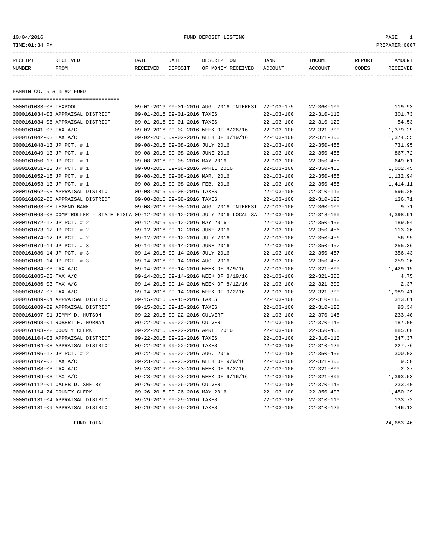10/04/2016 FUND DEPOSIT LISTING PAGE 1

| RECEIPT                  | RECEIVED                         | DATE     | DATE                        | DESCRIPTION                              | BANK              | INCOME           | REPORT | AMOUNT         |
|--------------------------|----------------------------------|----------|-----------------------------|------------------------------------------|-------------------|------------------|--------|----------------|
| NUMBER                   | FROM                             | RECEIVED | DEPOSIT                     | OF MONEY RECEIVED                        | ACCOUNT           | ACCOUNT          | CODES  | RECEIVED       |
|                          |                                  |          |                             |                                          |                   |                  |        |                |
|                          |                                  |          |                             |                                          |                   |                  |        |                |
| FANNIN CO. R & B #2 FUND |                                  |          |                             |                                          |                   |                  |        |                |
|                          |                                  |          |                             |                                          |                   |                  |        |                |
| 0000161033-03 TEXPOOL    |                                  |          |                             | 09-01-2016 09-01-2016 AUG. 2016 INTEREST | $22 - 103 - 175$  | $22 - 360 - 100$ |        | 119.93         |
|                          | 0000161034-03 APPRAISAL DISTRICT |          | 09-01-2016 09-01-2016 TAXES |                                          | $22 - 103 - 100$  | 22-310-110       |        | 301.73         |
|                          | 0000161034-08 APPRAISAL DISTRICT |          | 09-01-2016 09-01-2016 TAXES |                                          | $22 - 103 - 100$  | $22 - 310 - 120$ |        | 54.53          |
| 0000161041-03 TAX A/C    |                                  |          |                             | 09-02-2016 09-02-2016 WEEK OF 8/26/16    | $22 - 103 - 100$  | $22 - 321 - 300$ |        | 1,379.29       |
| 0.00016101220            |                                  |          |                             |                                          | <b>22 102 100</b> | 22.221.200       |        | $1$ $274$ $55$ |

| 0000161041-03 TAX A/C      |                                                                                              |                                  | 09-02-2016 09-02-2016 WEEK OF 8/26/16               | $22 - 103 - 100$ | $22 - 321 - 300$ | 1,379.29 |
|----------------------------|----------------------------------------------------------------------------------------------|----------------------------------|-----------------------------------------------------|------------------|------------------|----------|
| 0000161042-03 TAX A/C      |                                                                                              |                                  | 09-02-2016 09-02-2016 WEEK OF 8/19/16               | $22 - 103 - 100$ | $22 - 321 - 300$ | 1,374.55 |
| 0000161048-13 JP PCT. # 1  |                                                                                              | 09-08-2016 09-08-2016 JULY 2016  |                                                     | $22 - 103 - 100$ | $22 - 350 - 455$ | 731.95   |
| 0000161049-13 JP PCT. # 1  |                                                                                              | 09-08-2016 09-08-2016 JUNE 2016  |                                                     | $22 - 103 - 100$ | $22 - 350 - 455$ | 867.72   |
| 0000161050-13 JP PCT. # 1  |                                                                                              | 09-08-2016 09-08-2016 MAY 2016   |                                                     | $22 - 103 - 100$ | $22 - 350 - 455$ | 649.61   |
| 0000161051-13 JP PCT. # 1  |                                                                                              | 09-08-2016 09-08-2016 APRIL 2016 |                                                     | $22 - 103 - 100$ | $22 - 350 - 455$ | 1,002.45 |
| 0000161052-15 JP PCT. # 1  |                                                                                              | 09-08-2016 09-08-2016 MAR. 2016  |                                                     | $22 - 103 - 100$ | $22 - 350 - 455$ | 1,132.94 |
| 0000161053-13 JP PCT. # 1  |                                                                                              | 09-08-2016 09-08-2016 FEB. 2016  |                                                     | $22 - 103 - 100$ | $22 - 350 - 455$ | 1,414.11 |
|                            | 0000161062-03 APPRAISAL DISTRICT                                                             | 09-08-2016 09-08-2016 TAXES      |                                                     | $22 - 103 - 100$ | $22 - 310 - 110$ | 596.20   |
|                            | 0000161062-08 APPRAISAL DISTRICT                                                             | 09-08-2016 09-08-2016 TAXES      |                                                     | $22 - 103 - 100$ | $22 - 310 - 120$ | 136.71   |
| 0000161063-08 LEGEND BANK  |                                                                                              |                                  | 09-08-2016 09-08-2016 AUG. 2016 INTEREST 22-103-100 |                  | $22 - 360 - 100$ | 9.71     |
|                            | 0000161068-03 COMPTROLLER - STATE FISCA 09-12-2016 09-12-2016 JULY 2016 LOCAL SAL 22-103-100 |                                  |                                                     |                  | $22 - 318 - 160$ | 4,398.91 |
| 0000161072-12 JP PCT. # 2  |                                                                                              | 09-12-2016 09-12-2016 MAY 2016   |                                                     | $22 - 103 - 100$ | $22 - 350 - 456$ | 189.04   |
| 0000161073-12 JP PCT. # 2  |                                                                                              | 09-12-2016 09-12-2016 JUNE 2016  |                                                     | $22 - 103 - 100$ | $22 - 350 - 456$ | 113.36   |
| 0000161074-12 JP PCT. # 2  |                                                                                              | 09-12-2016 09-12-2016 JULY 2016  |                                                     | $22 - 103 - 100$ | $22 - 350 - 456$ | 56.95    |
| 0000161079-14 JP PCT. # 3  |                                                                                              | 09-14-2016 09-14-2016 JUNE 2016  |                                                     | $22 - 103 - 100$ | $22 - 350 - 457$ | 255.36   |
| 0000161080-14 JP PCT. # 3  |                                                                                              | 09-14-2016 09-14-2016 JULY 2016  |                                                     | $22 - 103 - 100$ | $22 - 350 - 457$ | 356.43   |
| 0000161081-14 JP PCT. # 3  |                                                                                              | 09-14-2016 09-14-2016 AUG. 2016  |                                                     | $22 - 103 - 100$ | $22 - 350 - 457$ | 259.26   |
| 0000161084-03 TAX A/C      |                                                                                              |                                  | 09-14-2016 09-14-2016 WEEK OF 9/9/16                | $22 - 103 - 100$ | $22 - 321 - 300$ | 1,429.15 |
| 0000161085-03 TAX A/C      |                                                                                              |                                  | 09-14-2016 09-14-2016 WEEK OF 8/19/16               | $22 - 103 - 100$ | $22 - 321 - 300$ | 4.75     |
| 0000161086-03 TAX A/C      |                                                                                              |                                  | 09-14-2016 09-14-2016 WEEK OF 8/12/16               | $22 - 103 - 100$ | $22 - 321 - 300$ | 2.37     |
| 0000161087-03 TAX A/C      |                                                                                              |                                  | 09-14-2016 09-14-2016 WEEK OF 9/2/16                | $22 - 103 - 100$ | $22 - 321 - 300$ | 1,989.41 |
|                            | 0000161089-04 APPRAISAL DISTRICT                                                             | 09-15-2016 09-15-2016 TAXES      |                                                     | $22 - 103 - 100$ | $22 - 310 - 110$ | 313.61   |
|                            | 0000161089-09 APPRAISAL DISTRICT                                                             | 09-15-2016 09-15-2016 TAXES      |                                                     | $22 - 103 - 100$ | $22 - 310 - 120$ | 93.34    |
|                            | 0000161097-01 JIMMY D. HUTSON                                                                | 09-22-2016 09-22-2016 CULVERT    |                                                     | $22 - 103 - 100$ | $22 - 370 - 145$ | 233.40   |
|                            | 0000161098-01 ROBERT E. NORMAN                                                               | 09-22-2016 09-22-2016 CULVERT    |                                                     | $22 - 103 - 100$ | $22 - 370 - 145$ | 187.00   |
| 0000161103-22 COUNTY CLERK |                                                                                              | 09-22-2016 09-22-2016 APRIL 2016 |                                                     | $22 - 103 - 100$ | $22 - 350 - 403$ | 885.60   |
|                            | 0000161104-03 APPRAISAL DISTRICT                                                             | 09-22-2016 09-22-2016 TAXES      |                                                     | $22 - 103 - 100$ | $22 - 310 - 110$ | 247.37   |
|                            | 0000161104-08 APPRAISAL DISTRICT                                                             | 09-22-2016 09-22-2016 TAXES      |                                                     | $22 - 103 - 100$ | $22 - 310 - 120$ | 227.76   |
| 0000161106-12 JP PCT. # 2  |                                                                                              | 09-22-2016 09-22-2016 AUG. 2016  |                                                     | $22 - 103 - 100$ | $22 - 350 - 456$ | 300.03   |
| 0000161107-03 TAX A/C      |                                                                                              |                                  | 09-23-2016 09-23-2016 WEEK OF 9/9/16                | $22 - 103 - 100$ | $22 - 321 - 300$ | 9.50     |
| 0000161108-03 TAX A/C      |                                                                                              |                                  | 09-23-2016 09-23-2016 WEEK OF 9/2/16                | $22 - 103 - 100$ | $22 - 321 - 300$ | 2.37     |
| 0000161109-03 TAX A/C      |                                                                                              |                                  | 09-23-2016 09-23-2016 WEEK OF 9/16/16               | $22 - 103 - 100$ | $22 - 321 - 300$ | 1,393.53 |
|                            | 0000161112-01 CALEB D. SHELBY                                                                | 09-26-2016 09-26-2016 CULVERT    |                                                     | $22 - 103 - 100$ | $22 - 370 - 145$ | 233.40   |
| 0000161114-24 COUNTY CLERK |                                                                                              | 09-26-2016 09-26-2016 MAY 2016   |                                                     | $22 - 103 - 100$ | $22 - 350 - 403$ | 1,450.29 |
|                            | 0000161131-04 APPRAISAL DISTRICT                                                             | 09-29-2016 09-29-2016 TAXES      |                                                     | $22 - 103 - 100$ | $22 - 310 - 110$ | 133.72   |
|                            | 0000161131-09 APPRAISAL DISTRICT                                                             | 09-29-2016 09-29-2016 TAXES      |                                                     | $22 - 103 - 100$ | $22 - 310 - 120$ | 146.12   |
|                            |                                                                                              |                                  |                                                     |                  |                  |          |

FUND TOTAL 24,683.46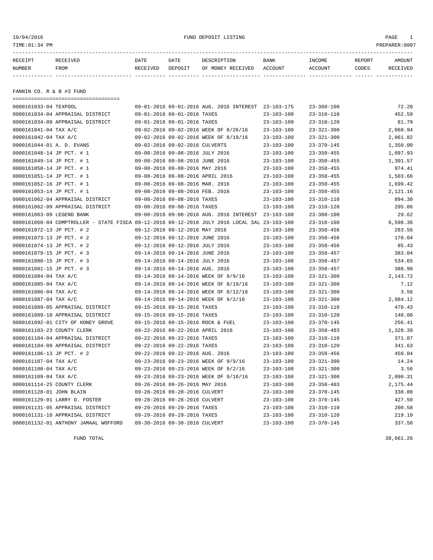| 10/04/2016<br>TIME: 01:34 PM |                                  |          |                                 | FUND DEPOSIT LISTING                     |                  |                  |        | PAGE<br>-1<br>PREPARER: 0007 |
|------------------------------|----------------------------------|----------|---------------------------------|------------------------------------------|------------------|------------------|--------|------------------------------|
| RECEIPT                      | RECEIVED                         | DATE     | DATE                            | DESCRIPTION                              | BANK             | INCOME           | REPORT | AMOUNT                       |
| NUMBER                       | FROM                             | RECEIVED | DEPOSIT                         | OF MONEY RECEIVED ACCOUNT                |                  | ACCOUNT          | CODES  | RECEIVED                     |
| FANNIN CO. R & B #3 FUND     |                                  |          |                                 |                                          |                  |                  |        |                              |
| 0000161033-04 TEXPOOL        |                                  |          |                                 | 09-01-2016 09-01-2016 AUG. 2016 INTEREST | $23 - 103 - 175$ | $23 - 360 - 100$ |        | 72.20                        |
|                              | 0000161034-04 APPRAISAL DISTRICT |          | 09-01-2016 09-01-2016 TAXES     |                                          | 23-103-100       | $23 - 310 - 110$ |        | 452.59                       |
|                              | 0000161034-09 APPRAISAL DISTRICT |          | 09-01-2016 09-01-2016 TAXES     |                                          | 23-103-100       | $23 - 310 - 120$ |        | 81.79                        |
| 0000161041-04 TAX A/C        |                                  |          |                                 | 09-02-2016 09-02-2016 WEEK OF 8/26/16    | $23 - 103 - 100$ | $23 - 321 - 300$ |        | 2,068.94                     |
| 0000161042-04 TAX A/C        |                                  |          |                                 | 09-02-2016 09-02-2016 WEEK OF 8/19/16    | $23 - 103 - 100$ | $23 - 321 - 300$ |        | 2,061.82                     |
| 0000161044-01 A. D. EVANS    |                                  |          | 09-02-2016 09-02-2016 CULVERTS  |                                          | $23 - 103 - 100$ | $23 - 370 - 145$ |        | 1,350.00                     |
| 0000161048-14 JP PCT. # 1    |                                  |          | 09-08-2016 09-08-2016 JULY 2016 |                                          | $23 - 103 - 100$ | $23 - 350 - 455$ |        | 1,097.93                     |
| 0000161049-14 JP PCT. # 1    |                                  |          | 09-08-2016 09-08-2016 JUNE 2016 |                                          | $23 - 103 - 100$ | $23 - 350 - 455$ |        | 1,301.57                     |
| 0000161050-14 JP PCT. # 1    |                                  |          | 09-08-2016 09-08-2016 MAY 2016  |                                          | $23 - 103 - 100$ | $23 - 350 - 455$ |        | 974.41                       |
| 0000161051-14 JP PCT. # 1    |                                  |          |                                 | 09-08-2016 09-08-2016 APRIL 2016         | $23 - 103 - 100$ | $23 - 350 - 455$ |        | 1,503.66                     |
| 0.0001610E210E2              |                                  |          |                                 |                                          | C 0.01 10.01 C   | OD DEA JEE       |        | 1.600.12                     |

| 0000161048-14 JP PCT. # 1  |                                                                                              |                                | 09-08-2016 09-08-2016 JULY 2016 |                                                     | $23 - 103 - 100$ | $23 - 350 - 455$ | 1,097.93 |
|----------------------------|----------------------------------------------------------------------------------------------|--------------------------------|---------------------------------|-----------------------------------------------------|------------------|------------------|----------|
| 0000161049-14 JP PCT. # 1  |                                                                                              |                                | 09-08-2016 09-08-2016 JUNE 2016 |                                                     | 23-103-100       | $23 - 350 - 455$ | 1,301.57 |
| 0000161050-14 JP PCT. # 1  |                                                                                              |                                | 09-08-2016 09-08-2016 MAY 2016  |                                                     | $23 - 103 - 100$ | $23 - 350 - 455$ | 974.41   |
| 0000161051-14 JP PCT. # 1  |                                                                                              |                                |                                 | 09-08-2016 09-08-2016 APRIL 2016                    | $23 - 103 - 100$ | $23 - 350 - 455$ | 1,503.66 |
| 0000161052-16 JP PCT. # 1  |                                                                                              |                                | 09-08-2016 09-08-2016 MAR. 2016 |                                                     | $23 - 103 - 100$ | $23 - 350 - 455$ | 1,699.42 |
| 0000161053-14 JP PCT. # 1  |                                                                                              |                                | 09-08-2016 09-08-2016 FEB. 2016 |                                                     | $23 - 103 - 100$ | $23 - 350 - 455$ | 2,121.16 |
|                            | 0000161062-04 APPRAISAL DISTRICT                                                             |                                | 09-08-2016 09-08-2016 TAXES     |                                                     | $23 - 103 - 100$ | $23 - 310 - 110$ | 894.30   |
|                            | 0000161062-09 APPRAISAL DISTRICT                                                             | 09-08-2016 09-08-2016 TAXES    |                                 |                                                     | $23 - 103 - 100$ | $23 - 310 - 120$ | 205.06   |
| 0000161063-09 LEGEND BANK  |                                                                                              |                                |                                 | 09-08-2016 09-08-2016 AUG. 2016 INTEREST 23-103-100 |                  | 23-360-100       | 29.62    |
|                            | 0000161068-04 COMPTROLLER - STATE FISCA 09-12-2016 09-12-2016 JULY 2016 LOCAL SAL 23-103-100 |                                |                                 |                                                     |                  | 23-318-160       | 6,598.36 |
| 0000161072-13 JP PCT. # 2  |                                                                                              |                                | 09-12-2016 09-12-2016 MAY 2016  |                                                     | 23-103-100       | $23 - 350 - 456$ | 283.56   |
| 0000161073-13 JP PCT. # 2  |                                                                                              |                                | 09-12-2016 09-12-2016 JUNE 2016 |                                                     | 23-103-100       | $23 - 350 - 456$ | 170.04   |
| 0000161074-13 JP PCT. # 2  |                                                                                              |                                | 09-12-2016 09-12-2016 JULY 2016 |                                                     | $23 - 103 - 100$ | $23 - 350 - 456$ | 85.43    |
| 0000161079-15 JP PCT. # 3  |                                                                                              |                                | 09-14-2016 09-14-2016 JUNE 2016 |                                                     | $23 - 103 - 100$ | $23 - 350 - 457$ | 383.04   |
| 0000161080-15 JP PCT. # 3  |                                                                                              |                                | 09-14-2016 09-14-2016 JULY 2016 |                                                     | $23 - 103 - 100$ | $23 - 350 - 457$ | 534.65   |
| 0000161081-15 JP PCT. # 3  |                                                                                              |                                | 09-14-2016 09-14-2016 AUG. 2016 |                                                     | $23 - 103 - 100$ | $23 - 350 - 457$ | 388.90   |
| 0000161084-04 TAX A/C      |                                                                                              |                                |                                 | 09-14-2016 09-14-2016 WEEK OF 9/9/16                | 23-103-100       | $23 - 321 - 300$ | 2,143.72 |
| 0000161085-04 TAX A/C      |                                                                                              |                                |                                 | 09-14-2016 09-14-2016 WEEK OF 8/19/16               | 23-103-100       | $23 - 321 - 300$ | 7.12     |
| 0000161086-04 TAX A/C      |                                                                                              |                                |                                 | 09-14-2016 09-14-2016 WEEK OF 8/12/16               | 23-103-100       | $23 - 321 - 300$ | 3.56     |
| 0000161087-04 TAX A/C      |                                                                                              |                                |                                 | 09-14-2016 09-14-2016 WEEK OF 9/2/16                | $23 - 103 - 100$ | $23 - 321 - 300$ | 2,984.12 |
|                            | 0000161089-05 APPRAISAL DISTRICT                                                             |                                | 09-15-2016 09-15-2016 TAXES     |                                                     | $23 - 103 - 100$ | $23 - 310 - 110$ | 470.43   |
|                            | 0000161089-10 APPRAISAL DISTRICT                                                             |                                | 09-15-2016 09-15-2016 TAXES     |                                                     | $23 - 103 - 100$ | $23 - 310 - 120$ | 140.00   |
|                            | 0000161092-01 CITY OF HONEY GROVE                                                            |                                |                                 | 09-15-2016 09-15-2016 ROCK & FUEL                   | $23 - 103 - 100$ | $23 - 370 - 145$ | 256.41   |
| 0000161103-23 COUNTY CLERK |                                                                                              |                                |                                 | 09-22-2016 09-22-2016 APRIL 2016                    | $23 - 103 - 100$ | $23 - 350 - 403$ | 1,328.39 |
|                            | 0000161104-04 APPRAISAL DISTRICT                                                             |                                | 09-22-2016 09-22-2016 TAXES     |                                                     | $23 - 103 - 100$ | $23 - 310 - 110$ | 371.07   |
|                            | 0000161104-09 APPRAISAL DISTRICT                                                             |                                | 09-22-2016 09-22-2016 TAXES     |                                                     | $23 - 103 - 100$ | $23 - 310 - 120$ | 341.63   |
| 0000161106-13 JP PCT. # 2  |                                                                                              |                                | 09-22-2016 09-22-2016 AUG. 2016 |                                                     | $23 - 103 - 100$ | $23 - 350 - 456$ | 450.04   |
| 0000161107-04 TAX A/C      |                                                                                              |                                |                                 | 09-23-2016 09-23-2016 WEEK OF 9/9/16                | $23 - 103 - 100$ | $23 - 321 - 300$ | 14.24    |
| 0000161108-04 TAX A/C      |                                                                                              |                                |                                 | 09-23-2016 09-23-2016 WEEK OF 9/2/16                | $23 - 103 - 100$ | $23 - 321 - 300$ | 3.56     |
| 0000161109-04 TAX A/C      |                                                                                              |                                |                                 | 09-23-2016 09-23-2016 WEEK OF 9/16/16               | $23 - 103 - 100$ | $23 - 321 - 300$ | 2,090.31 |
| 0000161114-25 COUNTY CLERK |                                                                                              | 09-26-2016 09-26-2016 MAY 2016 |                                 |                                                     | $23 - 103 - 100$ | $23 - 350 - 403$ | 2,175.44 |
| 0000161128-01 JOHN BLAIN   |                                                                                              | 09-28-2016 09-28-2016 CULVERT  |                                 |                                                     | $23 - 103 - 100$ | $23 - 370 - 145$ | 338.00   |
|                            | 0000161129-01 LARRY D. FOSTER                                                                |                                | 09-28-2016 09-28-2016 CULVERT   |                                                     | 23-103-100       | $23 - 370 - 145$ | 427.50   |
|                            | 0000161131-05 APPRAISAL DISTRICT                                                             | 09-29-2016 09-29-2016 TAXES    |                                 |                                                     | 23-103-100       | $23 - 310 - 110$ | 200.58   |
|                            | 0000161131-10 APPRAISAL DISTRICT                                                             | 09-29-2016 09-29-2016 TAXES    |                                 |                                                     | 23-103-100       | 23-310-120       | 219.19   |
|                            | 0000161132-01 ANTHONY JAMAAL WOFFORD                                                         | 09-30-2016 09-30-2016 CULVERT  |                                 |                                                     | $23 - 103 - 100$ | $23 - 370 - 145$ | 337.50   |
|                            |                                                                                              |                                |                                 |                                                     |                  |                  |          |
|                            |                                                                                              |                                |                                 |                                                     |                  |                  |          |

FUND TOTAL  $38,661.26$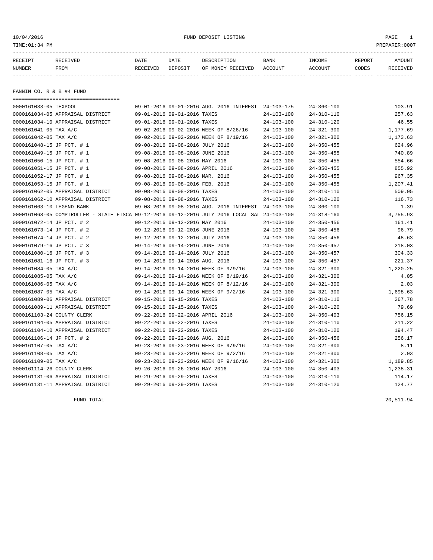10/04/2016 FUND DEPOSIT LISTING PAGE 1

| RECEIPT | RECEIVED | DATE     | DATE    | DESCRIPTION       | BANK    | INCOME  | REPORT | <b>AMOUNT</b> |
|---------|----------|----------|---------|-------------------|---------|---------|--------|---------------|
| NUMBER  | FROM     | RECEIVED | DEPOSIT | OF MONEY RECEIVED | ACCOUNT | ACCOUNT | CODES  | RECEIVED      |
|         |          |          |         |                   |         |         |        |               |
|         |          |          |         |                   |         |         |        |               |

FANNIN CO. R & B #4 FUND

| ====================================                                                         |                                                     |                  |                  |          |
|----------------------------------------------------------------------------------------------|-----------------------------------------------------|------------------|------------------|----------|
| 0000161033-05 TEXPOOL                                                                        | 09-01-2016 09-01-2016 AUG. 2016 INTEREST 24-103-175 |                  | $24 - 360 - 100$ | 103.91   |
| 0000161034-05 APPRAISAL DISTRICT                                                             | 09-01-2016 09-01-2016 TAXES                         | $24 - 103 - 100$ | $24 - 310 - 110$ | 257.63   |
| 0000161034-10 APPRAISAL DISTRICT                                                             | 09-01-2016 09-01-2016 TAXES                         | $24 - 103 - 100$ | $24 - 310 - 120$ | 46.55    |
| 0000161041-05 TAX A/C                                                                        | 09-02-2016 09-02-2016 WEEK OF 8/26/16               | $24 - 103 - 100$ | $24 - 321 - 300$ | 1,177.69 |
| 0000161042-05 TAX A/C                                                                        | 09-02-2016 09-02-2016 WEEK OF 8/19/16               | $24 - 103 - 100$ | $24 - 321 - 300$ | 1,173.63 |
| 0000161048-15 JP PCT. # 1                                                                    | 09-08-2016 09-08-2016 JULY 2016                     | $24 - 103 - 100$ | $24 - 350 - 455$ | 624.96   |
| 0000161049-15 JP PCT. # 1                                                                    | 09-08-2016 09-08-2016 JUNE 2016                     | $24 - 103 - 100$ | $24 - 350 - 455$ | 740.89   |
| 0000161050-15 JP PCT. # 1                                                                    | 09-08-2016 09-08-2016 MAY 2016                      | $24 - 103 - 100$ | $24 - 350 - 455$ | 554.66   |
| 0000161051-15 JP PCT. # 1                                                                    | 09-08-2016 09-08-2016 APRIL 2016                    | $24 - 103 - 100$ | $24 - 350 - 455$ | 855.92   |
| 0000161052-17 JP PCT. # 1                                                                    | 09-08-2016 09-08-2016 MAR. 2016                     | $24 - 103 - 100$ | $24 - 350 - 455$ | 967.35   |
| 0000161053-15 JP PCT. # 1                                                                    | 09-08-2016 09-08-2016 FEB. 2016                     | $24 - 103 - 100$ | $24 - 350 - 455$ | 1,207.41 |
| 0000161062-05 APPRAISAL DISTRICT                                                             | 09-08-2016 09-08-2016 TAXES                         | $24 - 103 - 100$ | $24 - 310 - 110$ | 509.05   |
| 0000161062-10 APPRAISAL DISTRICT                                                             | 09-08-2016 09-08-2016 TAXES                         | $24 - 103 - 100$ | $24 - 310 - 120$ | 116.73   |
| 0000161063-10 LEGEND BANK                                                                    | 09-08-2016 09-08-2016 AUG. 2016 INTEREST            | 24-103-100       | $24 - 360 - 100$ | 1.39     |
| 0000161068-05 COMPTROLLER - STATE FISCA 09-12-2016 09-12-2016 JULY 2016 LOCAL SAL 24-103-100 |                                                     |                  | $24 - 318 - 160$ | 3,755.93 |
| 0000161072-14 JP PCT. # 2                                                                    | 09-12-2016 09-12-2016 MAY 2016                      | $24 - 103 - 100$ | $24 - 350 - 456$ | 161.41   |
| 0000161073-14 JP PCT. # 2                                                                    | 09-12-2016 09-12-2016 JUNE 2016                     | $24 - 103 - 100$ | $24 - 350 - 456$ | 96.79    |
| 0000161074-14 JP PCT. # 2                                                                    | 09-12-2016 09-12-2016 JULY 2016                     | $24 - 103 - 100$ | $24 - 350 - 456$ | 48.63    |
| 0000161079-16 JP PCT. # 3                                                                    | 09-14-2016 09-14-2016 JUNE 2016                     | $24 - 103 - 100$ | $24 - 350 - 457$ | 218.03   |
| 0000161080-16 JP PCT. # 3                                                                    | 09-14-2016 09-14-2016 JULY 2016                     | $24 - 103 - 100$ | $24 - 350 - 457$ | 304.33   |
| 0000161081-16 JP PCT. # 3                                                                    | 09-14-2016 09-14-2016 AUG. 2016                     | $24 - 103 - 100$ | $24 - 350 - 457$ | 221.37   |
| 0000161084-05 TAX A/C                                                                        | 09-14-2016 09-14-2016 WEEK OF 9/9/16                | $24 - 103 - 100$ | $24 - 321 - 300$ | 1,220.25 |
| 0000161085-05 TAX A/C                                                                        | 09-14-2016 09-14-2016 WEEK OF 8/19/16               | $24 - 103 - 100$ | $24 - 321 - 300$ | 4.05     |
| 0000161086-05 TAX A/C                                                                        | 09-14-2016 09-14-2016 WEEK OF 8/12/16               | $24 - 103 - 100$ | $24 - 321 - 300$ | 2.03     |
| 0000161087-05 TAX A/C                                                                        | 09-14-2016 09-14-2016 WEEK OF 9/2/16                | $24 - 103 - 100$ | $24 - 321 - 300$ | 1,698.63 |
| 0000161089-06 APPRAISAL DISTRICT                                                             | 09-15-2016 09-15-2016 TAXES                         | $24 - 103 - 100$ | $24 - 310 - 110$ | 267.78   |
| 0000161089-11 APPRAISAL DISTRICT                                                             | 09-15-2016 09-15-2016 TAXES                         | $24 - 103 - 100$ | $24 - 310 - 120$ | 79.69    |
| 0000161103-24 COUNTY CLERK                                                                   | 09-22-2016 09-22-2016 APRIL 2016                    | $24 - 103 - 100$ | $24 - 350 - 403$ | 756.15   |
| 0000161104-05 APPRAISAL DISTRICT                                                             | 09-22-2016 09-22-2016 TAXES                         | $24 - 103 - 100$ | $24 - 310 - 110$ | 211.22   |
| 0000161104-10 APPRAISAL DISTRICT                                                             | 09-22-2016 09-22-2016 TAXES                         | $24 - 103 - 100$ | $24 - 310 - 120$ | 194.47   |
| 0000161106-14 JP PCT. # 2                                                                    | 09-22-2016 09-22-2016 AUG. 2016                     | $24 - 103 - 100$ | $24 - 350 - 456$ | 256.17   |
| 0000161107-05 TAX A/C                                                                        | 09-23-2016 09-23-2016 WEEK OF 9/9/16                | $24 - 103 - 100$ | $24 - 321 - 300$ | 8.11     |
| 0000161108-05 TAX A/C                                                                        | 09-23-2016 09-23-2016 WEEK OF 9/2/16                | $24 - 103 - 100$ | $24 - 321 - 300$ | 2.03     |
| 0000161109-05 TAX A/C                                                                        | 09-23-2016 09-23-2016 WEEK OF 9/16/16               | 24-103-100       | $24 - 321 - 300$ | 1,189.85 |
| 0000161114-26 COUNTY CLERK                                                                   | 09-26-2016 09-26-2016 MAY 2016                      | $24 - 103 - 100$ | $24 - 350 - 403$ | 1,238.31 |
| 0000161131-06 APPRAISAL DISTRICT                                                             | 09-29-2016 09-29-2016 TAXES                         | $24 - 103 - 100$ | $24 - 310 - 110$ | 114.17   |
| 0000161131-11 APPRAISAL DISTRICT                                                             | 09-29-2016 09-29-2016 TAXES                         | $24 - 103 - 100$ | $24 - 310 - 120$ | 124.77   |

FUND TOTAL 20,511.94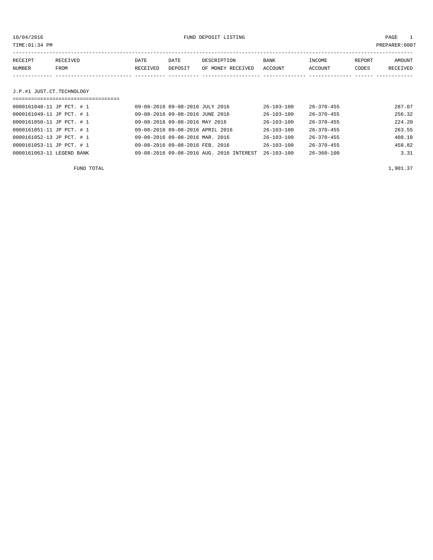10/04/2016 FUND DEPOSIT LISTING PAGE 1

| RECEIPT | RECEIVED | <b>DATE</b> | DATE    | DESCRIPTION       | BANK    | INCOME  | REPORT | <b>AMOUNT</b> |
|---------|----------|-------------|---------|-------------------|---------|---------|--------|---------------|
| NUMBER  | FROM     | RECEIVED    | DEPOSIT | OF MONEY RECEIVED | ACCOUNT | ACCOUNT | CODES  | RECEIVED      |
|         |          |             |         |                   |         |         |        |               |
|         |          |             |         |                   |         |         |        |               |

# J.P.#1 JUST.CT.TECHNOLOGY

| ================================== |                                          |                  |                  |        |  |  |  |  |  |  |
|------------------------------------|------------------------------------------|------------------|------------------|--------|--|--|--|--|--|--|
| 0000161048-11 JP PCT. # 1          | 09-08-2016 09-08-2016 JULY 2016          | $26 - 103 - 100$ | $26 - 370 - 455$ | 287.07 |  |  |  |  |  |  |
| 0000161049-11 JP PCT. # 1          | 09-08-2016 09-08-2016 JUNE 2016          | $26 - 103 - 100$ | $26 - 370 - 455$ | 256.32 |  |  |  |  |  |  |
| 0000161050-11 JP PCT. # 1          | 09-08-2016 09-08-2016 MAY 2016           | $26 - 103 - 100$ | $26 - 370 - 455$ | 224.20 |  |  |  |  |  |  |
| 0000161051-11 JP PCT. # 1          | 09-08-2016 09-08-2016 APRIL 2016         | $26 - 103 - 100$ | $26 - 370 - 455$ | 263.55 |  |  |  |  |  |  |
| 0000161052-13 JP PCT. # 1          | 09-08-2016 09-08-2016 MAR. 2016          | $26 - 103 - 100$ | $26 - 370 - 455$ | 408.10 |  |  |  |  |  |  |
| 0000161053-11 JP PCT. # 1          | 09-08-2016 09-08-2016 FEB. 2016          | $26 - 103 - 100$ | $26 - 370 - 455$ | 458.82 |  |  |  |  |  |  |
| 0000161063-11 LEGEND BANK          | 09-08-2016 09-08-2016 AUG. 2016 INTEREST | $26 - 103 - 100$ | $26 - 360 - 100$ | 3.31   |  |  |  |  |  |  |

FUND TOTAL  $1,901.37$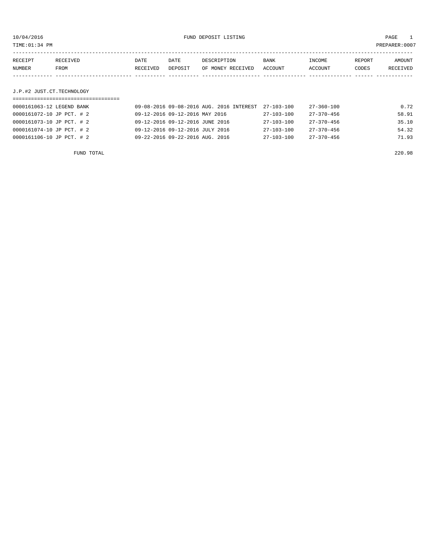| PREPARER: 0007<br>TIME:01:34 PM |          |             |         |                   |             |         |        |                 |
|---------------------------------|----------|-------------|---------|-------------------|-------------|---------|--------|-----------------|
|                                 |          |             |         |                   |             |         |        |                 |
| RECEIPT                         | RECEIVED | <b>DATE</b> | DATE    | DESCRIPTION       | <b>BANK</b> | INCOME  | REPORT | AMOUNT          |
| NUMBER                          | FROM     | RECEIVED    | DEPOSIT | OF MONEY RECEIVED | ACCOUNT     | ACCOUNT | CODES  | <b>RECEIVED</b> |
|                                 |          |             |         |                   |             |         |        |                 |

J.P.#2 JUST.CT.TECHNOLOGY

| 0000161063-12 LEGEND BANK | 09-08-2016 09-08-2016 AUG. 2016 INTEREST | 27-103-100       | 27-360-100       | 0.72  |
|---------------------------|------------------------------------------|------------------|------------------|-------|
| 0000161072-10 JP PCT. # 2 | 09-12-2016 09-12-2016 MAY 2016           | 27-103-100       | $27 - 370 - 456$ | 58.91 |
| 0000161073-10 JP PCT. # 2 | 09-12-2016 09-12-2016 JUNE 2016          | $27 - 103 - 100$ | $27 - 370 - 456$ | 35.10 |
| 0000161074-10 JP PCT. # 2 | 09-12-2016 09-12-2016 JULY 2016          | $27 - 103 - 100$ | $27 - 370 - 456$ | 54.32 |
| 0000161106-10 JP PCT. # 2 | 09-22-2016 09-22-2016 AUG. 2016          | $27 - 103 - 100$ | $27 - 370 - 456$ | 71.93 |
|                           |                                          |                  |                  |       |

FUND TOTAL 220.98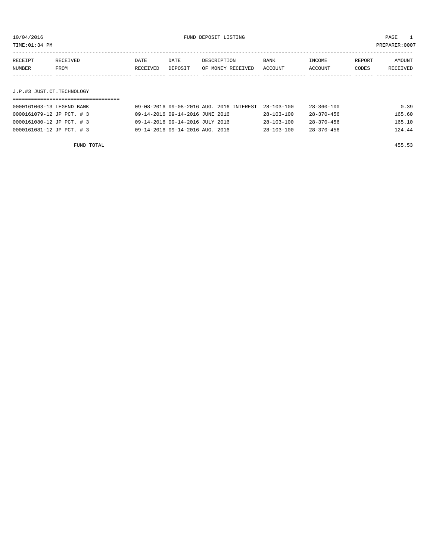TIME:01:34 PM PREPARER:0007

| RECEIPT | RECEIVED                  | DATE     | DATE    | DESCRIPTION       | BANK    | INCOME  | REPORT | AMOUNT   |  |
|---------|---------------------------|----------|---------|-------------------|---------|---------|--------|----------|--|
| NUMBER  | FROM                      | RECEIVED | DEPOSIT | OF MONEY RECEIVED | ACCOUNT | ACCOUNT | CODES  | RECEIVED |  |
|         |                           |          |         |                   |         |         |        |          |  |
|         |                           |          |         |                   |         |         |        |          |  |
|         | J.P.#3 JUST.CT.TECHNOLOGY |          |         |                   |         |         |        |          |  |
|         |                           |          |         |                   |         |         |        |          |  |

| 0000161063-13 LEGEND BANK | 09-08-2016 09-08-2016 AUG. 2016 INTEREST | 28-103-100       | 28-360-100       | 0.39   |
|---------------------------|------------------------------------------|------------------|------------------|--------|
| 0000161079-12 JP PCT. # 3 | 09-14-2016 09-14-2016 JUNE 2016          | $28 - 103 - 100$ | $28 - 370 - 456$ | 165.60 |
| 0000161080-12 JP PCT. #3  | 09-14-2016 09-14-2016 JULY 2016          | $28 - 103 - 100$ | $28 - 370 - 456$ | 165.10 |
| 0000161081-12 JP PCT. #3  | 09-14-2016 09-14-2016 AUG. 2016          | $28 - 103 - 100$ | $28 - 370 - 456$ | 124.44 |

FUND TOTAL 455.53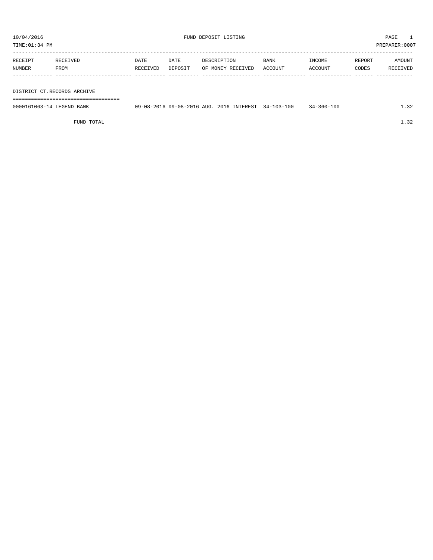TIME:01:34 PM PREPARER:0007

| RECEIPT | RECEIVED    | DATE     | DATE    | DESCRIPTION       | <b>BANK</b> | INCOME  | REPORT | AMOUNT   |
|---------|-------------|----------|---------|-------------------|-------------|---------|--------|----------|
| NUMBER  | <b>FROM</b> | RECEIVED | DEPOSIT | OF MONEY RECEIVED | ACCOUNT     | ACCOUNT | CODES  | RECEIVED |
|         |             |          |         |                   |             |         |        |          |

### DISTRICT CT.RECORDS ARCHIVE

===================================

| 0000161063-14 LEGEND BANK | 09-08-2016 09-08-2016 AUG. 2016 INTEREST | $34 - 103 - 100$ | 34-360-100 | $\sim$ $\sim$ |
|---------------------------|------------------------------------------|------------------|------------|---------------|
|                           |                                          |                  |            |               |
|                           |                                          |                  |            |               |

FUND TOTAL  $1.32$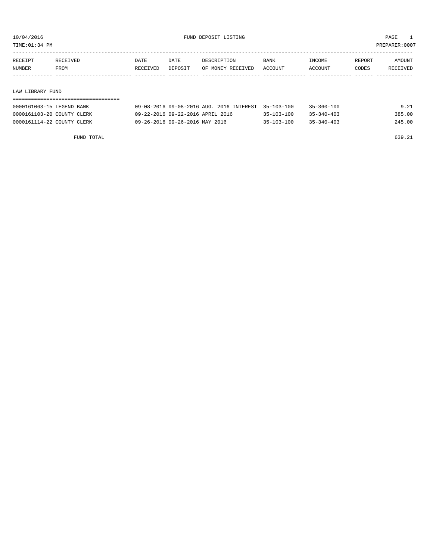TIME:01:34 PM PREPARER:0007

| RECEIPT       | <b>RECEIVED</b> | DATE     | DATE    | DESCRIPTION       | <b>BANK</b> | <b>TNCOME</b>  | REPORT | AMOUNT          |
|---------------|-----------------|----------|---------|-------------------|-------------|----------------|--------|-----------------|
| <b>NUMBER</b> | <b>FROM</b>     | RECEIVED | DEPOSIT | OF MONEY RECEIVED | ACCOUNT     | <b>ACCOUNT</b> | CODES  | <b>RECEIVED</b> |
|               |                 |          |         |                   |             |                |        |                 |

### LAW LIBRARY FUND

| 0000161063-15 LEGEND BANK  | 09-08-2016 09-08-2016 AUG. 2016 INTEREST 35-103-100 |                  | $35 - 360 - 100$ | 9.21   |
|----------------------------|-----------------------------------------------------|------------------|------------------|--------|
| 0000161103-20 COUNTY CLERK | 09-22-2016 09-22-2016 APRIL 2016                    | $35 - 103 - 100$ | $35 - 340 - 403$ | 385.00 |
| 0000161114-22 COUNTY CLERK | 09-26-2016 09-26-2016 MAY 2016                      | $35 - 103 - 100$ | $35 - 340 - 403$ | 245.00 |

FUND TOTAL 639.21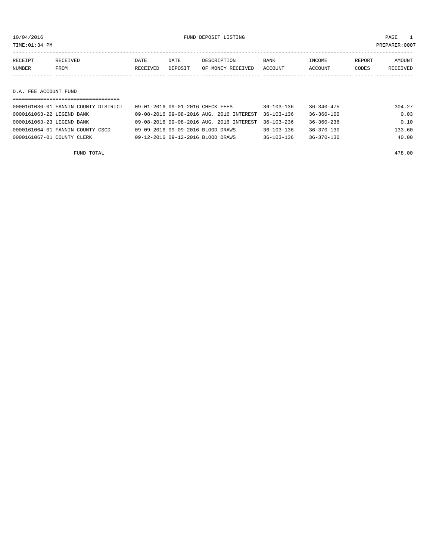| TIME: 01:34 PM        |                                           |          |         |                                                        |                  |                  |        | PREPARER:0007      |
|-----------------------|-------------------------------------------|----------|---------|--------------------------------------------------------|------------------|------------------|--------|--------------------|
| RECEIPT               | RECEIVED                                  | DATE     | DATE    | DESCRIPTION                                            | <b>BANK</b>      | INCOME           | REPORT | AMOUNT<br>RECEIVED |
| NUMBER                | FROM                                      | RECEIVED | DEPOSIT | OF MONEY RECEIVED                                      | ACCOUNT          | ACCOUNT          | CODES  |                    |
| D.A. FEE ACCOUNT FUND |                                           |          |         |                                                        |                  |                  |        |                    |
|                       | $0.000161036 - 01$ EANNIN COUNTY DISTRICT |          |         | $0.9 - 0.1 - 20.16$ $0.9 - 0.1 - 20.16$ $CUTCY$ $TTCC$ | $26 - 102 - 126$ | $26 - 210 - 175$ |        | 20127              |

| 0000161036-01 FANNIN COUNTY DISTRICT | 09-01-2016 09-01-2016 CHECK FEES                    | 36-103-136       | $36 - 340 - 475$ | 304.27 |
|--------------------------------------|-----------------------------------------------------|------------------|------------------|--------|
| 0000161063-22 LEGEND BANK            | 09-08-2016 09-08-2016 AUG. 2016 INTEREST 36-103-136 |                  | 36-360-100       | 0.03   |
| 0000161063-23 LEGEND BANK            | 09-08-2016 09-08-2016 AUG. 2016 INTEREST 36-103-236 |                  | 36-360-236       | 0.10   |
| 0000161064-01 FANNIN COUNTY CSCD     | 09-09-2016 09-09-2016 BLOOD DRAWS                   | 36-103-136       | 36-370-130       | 133.60 |
| 0000161067-01 COUNTY CLERK           | 09-12-2016 09-12-2016 BLOOD DRAWS                   | $36 - 103 - 136$ | $36 - 370 - 130$ | 40.00  |
|                                      |                                                     |                  |                  |        |

FUND TOTAL 478.00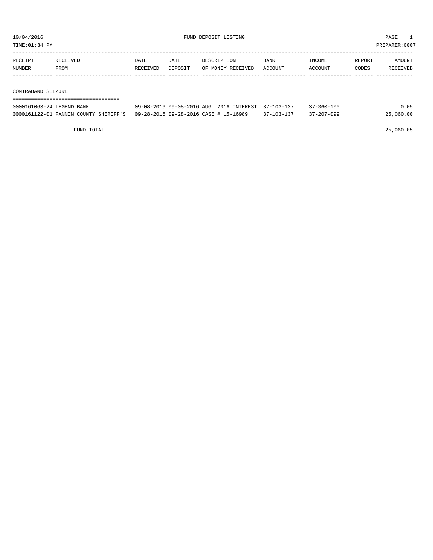TIME:01:34 PM PREPARER:0007

| RECEIPT            | RECEIVED | DATE     | DATE    | DESCRIPTION       | <b>BANK</b> | INCOME         | REPORT | AMOUNT   |
|--------------------|----------|----------|---------|-------------------|-------------|----------------|--------|----------|
| NUMBER             | FROM     | RECEIVED | DEPOSIT | OF MONEY RECEIVED | ACCOUNT     | <b>ACCOUNT</b> | CODES  | RECEIVED |
|                    |          |          |         |                   |             |                |        |          |
|                    |          |          |         |                   |             |                |        |          |
| CONTRABAND SEIZURE |          |          |         |                   |             |                |        |          |

| 0000161063-24 LEGEND BANK                                                   | 09-08-2016 09-08-2016 AUG. 2016 INTEREST 37-103-137 |                  | $37 - 360 - 100$ | 0.05      |
|-----------------------------------------------------------------------------|-----------------------------------------------------|------------------|------------------|-----------|
| 0000161122-01 FANNIN COUNTY SHERIFF'S 09-28-2016 09-28-2016 CASE # 15-16989 |                                                     | $37 - 103 - 137$ | $37 - 207 - 099$ | 25,060.00 |

FUND TOTAL 25,060.05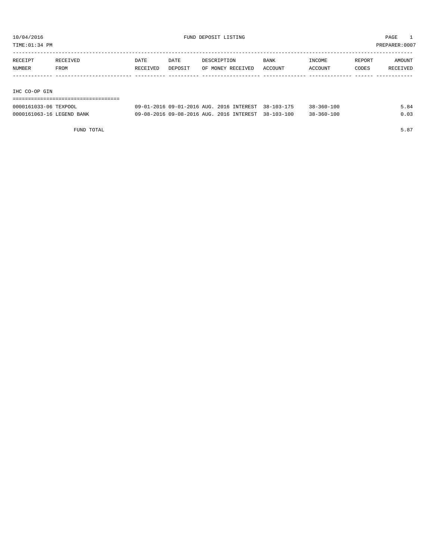TIME:01:34 PM PREPARER:0007

| RECEIPT       | RECEIVED | DATE     | DATE    | DESCRIPTION       | <b>BANK</b> | INCOME  | REPORT | AMOUNT   |
|---------------|----------|----------|---------|-------------------|-------------|---------|--------|----------|
| NUMBER        | FROM     | RECEIVED | DEPOSIT | OF MONEY RECEIVED | ACCOUNT     | ACCOUNT | CODES  | RECEIVED |
|               |          |          |         |                   |             |         |        |          |
|               |          |          |         |                   |             |         |        |          |
| TUA ANLAD AIN |          |          |         |                   |             |         |        |          |

IHC CO-OP GIN

| -------------------------------------<br>------------------------------------- |  |  |  |  |  |  |  |  |  |  |  |  |  |  |  |  |  |  |
|--------------------------------------------------------------------------------|--|--|--|--|--|--|--|--|--|--|--|--|--|--|--|--|--|--|

| 0000161033-06 TEXPOOL     | 09-01-2016 09-01-2016 AUG. 2016 INTEREST 38-103-175 |  | $38 - 360 - 100$ | 5.84 |
|---------------------------|-----------------------------------------------------|--|------------------|------|
| 0000161063-16 LEGEND BANK | 09-08-2016 09-08-2016 AUG. 2016 INTEREST 38-103-100 |  | $38 - 360 - 100$ | 0.03 |

FUND TOTAL  $5.87$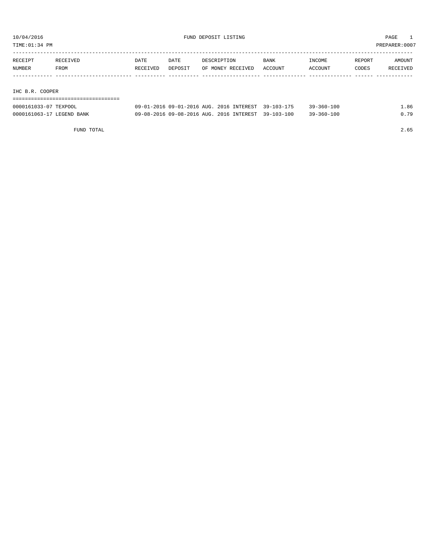TIME:01:34 PM PREPARER:0007

| RECEIPT                                    | RECEIVED | <b>DATE</b> | <b>DATE</b> | DESCRIPTION       | <b>BANK</b> | INCOME  | REPORT | AMOUNT   |
|--------------------------------------------|----------|-------------|-------------|-------------------|-------------|---------|--------|----------|
| NUMBER                                     | FROM     | RECEIVED    | DEPOSIT     | OF MONEY RECEIVED | ACCOUNT     | ACCOUNT | CODES  | RECEIVED |
|                                            |          |             |             |                   |             |         |        |          |
|                                            |          |             |             |                   |             |         |        |          |
| $\sim$ $\sim$ $\sim$ $\sim$ $\sim$<br>$-1$ |          |             |             |                   |             |         |        |          |

IHC B.R. COOPER

| -------------------------------------  |  |  |  |  |  |  |  |  |  |  |  |  |  |  |  |  |
|----------------------------------------|--|--|--|--|--|--|--|--|--|--|--|--|--|--|--|--|
| -------------------------------------- |  |  |  |  |  |  |  |  |  |  |  |  |  |  |  |  |

| 0000161033-07 TEXPOOL     | 09-01-2016 09-01-2016 AUG. 2016 INTEREST 39-103-175 |  | $39 - 360 - 100$ | ⊥.86 |
|---------------------------|-----------------------------------------------------|--|------------------|------|
| 0000161063-17 LEGEND BANK | 09-08-2016 09-08-2016 AUG. 2016 INTEREST 39-103-100 |  | $39 - 360 - 100$ | 0.79 |

FUND TOTAL 2.65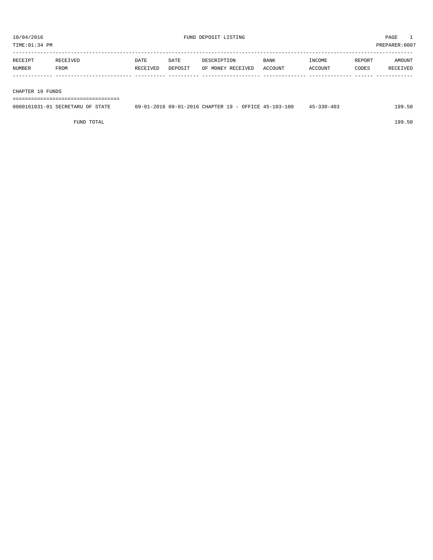| RECEIPT       | <b>RECEIVED</b> | DATE     | DATE           | DESCRIPTION       | <b>BANK</b>    | INCOME         | REPORT | AMOUNT          |
|---------------|-----------------|----------|----------------|-------------------|----------------|----------------|--------|-----------------|
| <b>NUMBER</b> | FROM            | RECEIVED | <b>DEPOSTT</b> | OF MONEY RECEIVED | <b>ACCOUNT</b> | <b>ACCOUNT</b> | CODES  | <b>RECEIVED</b> |
|               |                 |          |                |                   |                |                |        |                 |

### CHAPTER 19 FUNDS

===================================

| 0000161031-01 SECRETARU OF STATE | 09-01-2016 09-01-2016 CHAPTER 19 - OFFICE 45-103-100 | $45 - 330 - 403$ | 199.50 |
|----------------------------------|------------------------------------------------------|------------------|--------|
|                                  |                                                      |                  |        |

FUND TOTAL 199.50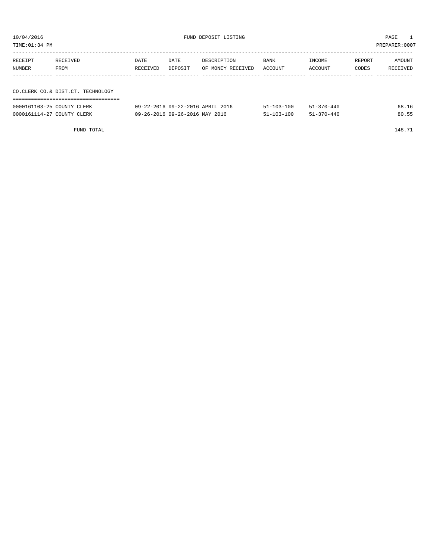| TIME:01:34 PM<br>PREPARER: 0007 |                                   |          |         |                   |             |         |        |          |  |  |
|---------------------------------|-----------------------------------|----------|---------|-------------------|-------------|---------|--------|----------|--|--|
| RECEIPT                         | RECEIVED                          |          | DATE    | DESCRIPTION       | <b>BANK</b> | INCOME  | REPORT | AMOUNT   |  |  |
| NUMBER<br>FROM                  |                                   | RECEIVED | DEPOSIT | OF MONEY RECEIVED | ACCOUNT     | ACCOUNT | CODES  | RECEIVED |  |  |
|                                 |                                   |          |         |                   |             |         |        |          |  |  |
|                                 | CO.CLERK CO.& DIST.CT. TECHNOLOGY |          |         |                   |             |         |        |          |  |  |
|                                 |                                   |          |         |                   |             |         |        |          |  |  |

| 0000161103-25 COUNTY CLERK | 09-22-2016 09-22-2016 APRIL 2016 | $51 - 103 - 100$ | $51 - 370 - 440$ | 68.16 |
|----------------------------|----------------------------------|------------------|------------------|-------|
| 0000161114-27 COUNTY CLERK | 09-26-2016 09-26-2016 MAY 2016   | $51 - 103 - 100$ | 51-370-440       | 80.55 |

FUND TOTAL 148.71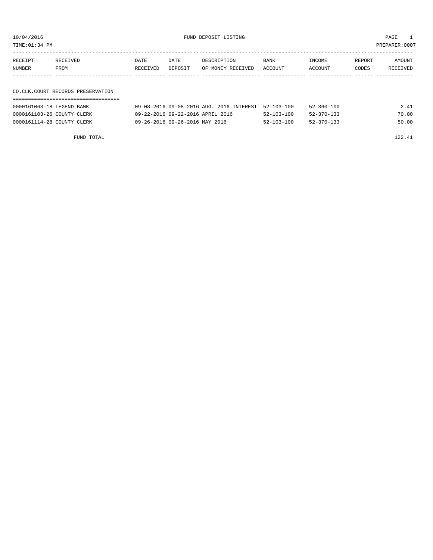10/04/2016 FUND DEPOSIT LISTING PAGE 1

| RECEIPT | RECEIVED | DATE     | DATE    | DESCRIPTION               | BANK | INCOME  | REPORT | AMOUNT   |
|---------|----------|----------|---------|---------------------------|------|---------|--------|----------|
| NUMBER  | FROM     | RECEIVED | DEPOSIT | OF MONEY RECEIVED ACCOUNT |      | ACCOUNT | CODES  | RECEIVED |
|         |          |          |         |                           |      |         |        |          |

## CO.CLK.COURT RECORDS PRESERVATION ===================================

| 0000161063-18 LEGEND BANK  | 09-08-2016 09-08-2016 AUG, 2016 INTEREST 52-103-100 |                  | $52 - 360 - 100$ | 2.41  |
|----------------------------|-----------------------------------------------------|------------------|------------------|-------|
| 0000161103-26 COUNTY CLERK | 09-22-2016 09-22-2016 APRIL 2016                    | $52 - 103 - 100$ | $52 - 370 - 133$ | 70.00 |
| 0000161114-28 COUNTY CLERK | 09-26-2016 09-26-2016 MAY 2016                      | $52 - 103 - 100$ | $52 - 370 - 133$ | 50.00 |

FUND TOTAL 122.41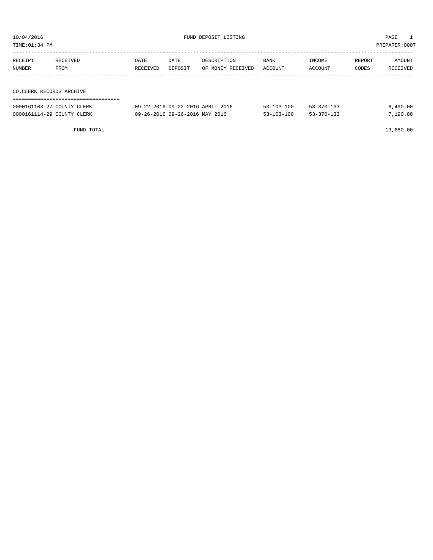TIME:01:34 PM PREPARER:0007

| RECEIPT                  | RECEIVED | DATE     | DATE    | DESCRIPTION       | BANK    | INCOME  | REPORT | AMOUNT   |
|--------------------------|----------|----------|---------|-------------------|---------|---------|--------|----------|
| NUMBER                   | FROM     | RECEIVED | DEPOSIT | OF MONEY RECEIVED | ACCOUNT | ACCOUNT | CODES  | RECEIVED |
|                          |          |          |         |                   |         |         |        |          |
|                          |          |          |         |                   |         |         |        |          |
| CO.CLERK RECORDS ARCHIVE |          |          |         |                   |         |         |        |          |

|  |  |     |     |                    |  | $  -$ |  |  |  |  |  |  |            |  |  |  |  |  |
|--|--|-----|-----|--------------------|--|-------|--|--|--|--|--|--|------------|--|--|--|--|--|
|  |  |     |     |                    |  |       |  |  |  |  |  |  |            |  |  |  |  |  |
|  |  |     |     |                    |  |       |  |  |  |  |  |  |            |  |  |  |  |  |
|  |  |     |     |                    |  |       |  |  |  |  |  |  |            |  |  |  |  |  |
|  |  | --- | - - | --------------<br> |  |       |  |  |  |  |  |  | ---------- |  |  |  |  |  |
|  |  |     |     |                    |  |       |  |  |  |  |  |  |            |  |  |  |  |  |
|  |  |     |     |                    |  |       |  |  |  |  |  |  |            |  |  |  |  |  |

| 0000161103-27 COUNTY CLERK | 09-22-2016 09-22-2016 APRIL 2016 | $53 - 103 - 100$ | $53 - 370 - 133$ | 6,490.00 |
|----------------------------|----------------------------------|------------------|------------------|----------|
| 0000161114-29 COUNTY CLERK | 09-26-2016 09-26-2016 MAY 2016   | $53 - 103 - 100$ | $53 - 370 - 133$ | 7,190.00 |

FUND TOTAL 13,680.00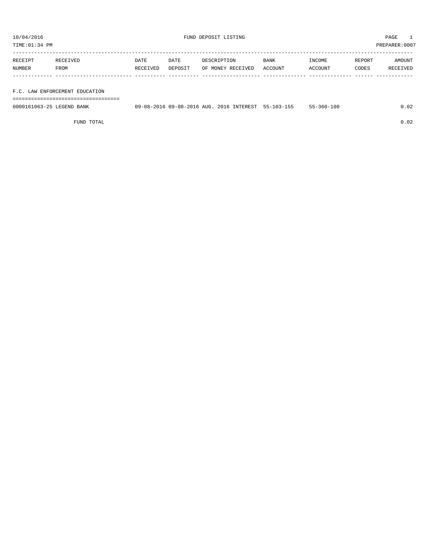TIME:01:34 PM PREPARER:0007

| RECEIPT | RECEIVED | DATE     | DATE    | DESCRIPTION       | <b>BANK</b> | INCOME  | REPORT | AMOUNT   |
|---------|----------|----------|---------|-------------------|-------------|---------|--------|----------|
| NUMBER  | FROM     | RECEIVED | DEPOSIT | OF MONEY RECEIVED | ACCOUNT     | ACCOUNT | CODES  | RECEIVED |
|         |          |          |         |                   |             |         |        |          |

# F.C. LAW ENFORCEMENT EDUCATION

===================================

| 0000161063-25 LEGEND BANK | 09-08-2016 09-08-2016 AUG. 2016 INTEREST 55-103-155 |  | $55 - 360 - 100$ | .02 |
|---------------------------|-----------------------------------------------------|--|------------------|-----|
|                           |                                                     |  |                  |     |

FUND TOTAL 0.02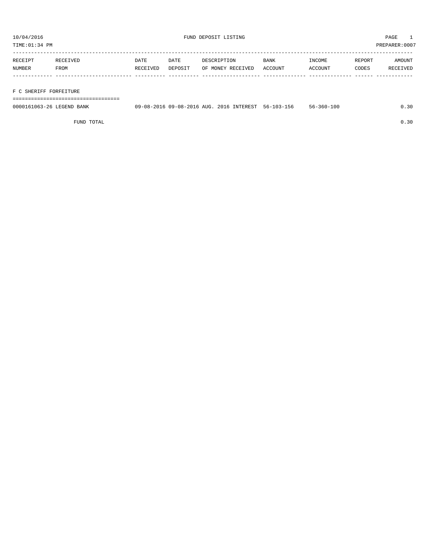TIME:01:34 PM PREPARER:0007

| RECEIPT | RECEIVED | DATE     | DATE    | DESCRIPTION       | <b>BANK</b> | INCOME  | REPORT | AMOUNT   |
|---------|----------|----------|---------|-------------------|-------------|---------|--------|----------|
| NUMBER  | FROM     | RECEIVED | DEPOSIT | OF MONEY RECEIVED | ACCOUNT     | ACCOUNT | CODES  | RECEIVED |
|         |          |          |         |                   |             |         |        |          |
|         |          |          |         |                   |             |         |        |          |

## F C SHERIFF FORFEITURE

===================================

| 0000161063-26 LEGEND BANK | 09-08-2016 09-08-2016 AUG. 2016 INTEREST 56-103-156 |  | 56-360-100 | 0.30 |
|---------------------------|-----------------------------------------------------|--|------------|------|
|                           |                                                     |  |            |      |

FUND TOTAL  $0.30$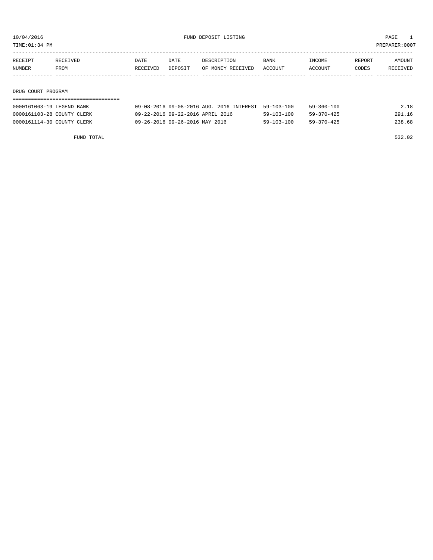TIME:01:34 PM PREPARER:0007

| RECEIPT | RECEIVED | DATE     | DATE    | DESCRIPTION       | <b>BANK</b> | INCOME  | REPORT | AMOUNT   |
|---------|----------|----------|---------|-------------------|-------------|---------|--------|----------|
| NUMBER  | FROM     | RECEIVED | DEPOSIT | OF MONEY RECEIVED | ACCOUNT     | ACCOUNT | CODES  | RECEIVED |
|         |          |          |         |                   |             |         |        |          |

### DRUG COURT PROGRAM

| 0000161063-19 LEGEND BANK  | 09-08-2016 09-08-2016 AUG. 2016 INTEREST 59-103-100 |                  | 59-360-100       | 2.18   |
|----------------------------|-----------------------------------------------------|------------------|------------------|--------|
| 0000161103-28 COUNTY CLERK | 09-22-2016 09-22-2016 APRIL 2016                    | $59 - 103 - 100$ | $59 - 370 - 425$ | 291.16 |
| 0000161114-30 COUNTY CLERK | 09-26-2016 09-26-2016 MAY 2016                      | $59 - 103 - 100$ | $59 - 370 - 425$ | 238.68 |

FUND TOTAL 532.02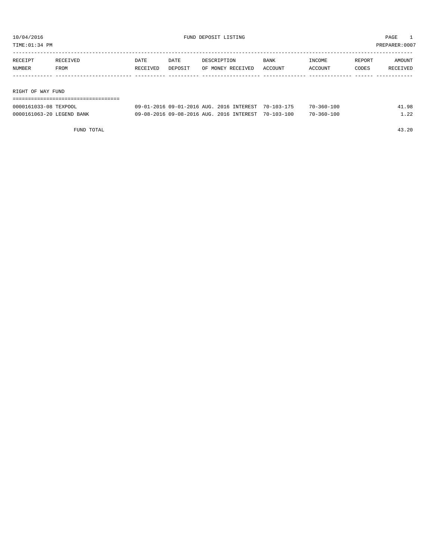| TIME: 01:34 PM    |          |          |         |                   |             |         |        | PREPARER:0007 |  |  |
|-------------------|----------|----------|---------|-------------------|-------------|---------|--------|---------------|--|--|
|                   |          |          |         |                   |             |         |        |               |  |  |
| RECEIPT           | RECEIVED | DATE     | DATE    | DESCRIPTION       | <b>BANK</b> | INCOME  | REPORT | AMOUNT        |  |  |
| NUMBER            | FROM     | RECEIVED | DEPOSIT | OF MONEY RECEIVED | ACCOUNT     | ACCOUNT | CODES  | RECEIVED      |  |  |
|                   |          |          |         |                   |             |         |        |               |  |  |
|                   |          |          |         |                   |             |         |        |               |  |  |
| RIGHT OF WAY FUND |          |          |         |                   |             |         |        |               |  |  |
|                   |          |          |         |                   |             |         |        |               |  |  |

| 0000161033-08 TEXPOOL     | 09-01-2016 09-01-2016 AUG. 2016 INTEREST | $70 - 103 - 175$ | $70 - 360 - 100$ | 41.98  |
|---------------------------|------------------------------------------|------------------|------------------|--------|
| 0000161063-20 LEGEND BANK | 09-08-2016 09-08-2016 AUG. 2016 INTEREST | $70 - 103 - 100$ | 70-360-100       | $\cap$ |

FUND TOTAL 43.20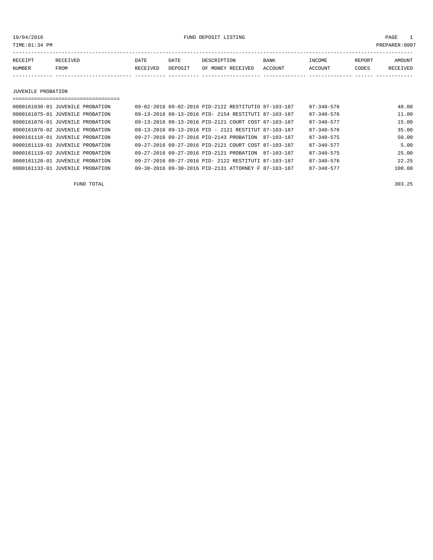$10/04/2016$  FUND DEPOSIT LISTING TIME:01:34 PM PAGE 1 PAGE 1 PREPARER:0007

| PREPARER:000' |  |  |
|---------------|--|--|
|               |  |  |

| RECEIPT | RECEIVED | DATE            | DATE    | DESCRIPTION       | <b>BANK</b> | <b>INCOME</b> | REPORT | AMOUNT          |
|---------|----------|-----------------|---------|-------------------|-------------|---------------|--------|-----------------|
| NUMBER  | FROM     | <b>RECEIVED</b> | DEPOSIT | OF MONEY RECEIVED | ACCOUNT     | ACCOUNT       | CODES  | <b>RECEIVED</b> |
|         |          |                 |         |                   |             |               |        |                 |

### JUVENILE PROBATION

| ,,,,,,,,,,,,,,,,,,,,,,,,,,,,,,,,,,, |                                                      |  |                                                      |                  |        |
|-------------------------------------|------------------------------------------------------|--|------------------------------------------------------|------------------|--------|
| 0000161038-01 JUVENILE PROBATION    |                                                      |  | 09-02-2016 09-02-2016 PID-2122 RESTITUTIO 87-103-187 | $87 - 340 - 576$ | 40.00  |
| 0000161075-01 JUVENILE PROBATION    |                                                      |  | 09-13-2016 09-13-2016 PID- 2154 RESTITUTI 87-103-187 | $87 - 340 - 576$ | 11.00  |
| 0000161076-01 JUVENILE PROBATION    | 09-13-2016 09-13-2016 PID-2121 COURT COST 87-103-187 |  |                                                      | $87 - 340 - 577$ | 15.00  |
| 0000161076-02 JUVENILE PROBATION    | 09-13-2016 09-13-2016 PID - 2121 RESTITUT 87-103-187 |  |                                                      | $87 - 340 - 576$ | 35.00  |
| 0000161118-01 JUVENILE PROBATION    | 09-27-2016 09-27-2016 PID-2143 PROBATION             |  | 87-103-187                                           | $87 - 340 - 575$ | 50.00  |
| 0000161119-01 JUVENILE PROBATION    | 09-27-2016 09-27-2016 PID-2121 COURT COST 87-103-187 |  |                                                      | $87 - 340 - 577$ | 5.00   |
| 0000161119-02 JUVENILE PROBATION    | 09-27-2016 09-27-2016 PID-2121 PROBATION             |  | 87-103-187                                           | $87 - 340 - 575$ | 25.00  |
| 0000161120-01 JUVENILE PROBATION    | 09-27-2016 09-27-2016 PID- 2122 RESTITUTI 87-103-187 |  |                                                      | $87 - 340 - 576$ | 22.25  |
| 0000161133-01 JUVENILE PROBATION    | 09-30-2016 09-30-2016 PID-2131 ATTORNEY F 87-103-187 |  |                                                      | $87 - 340 - 577$ | 100.00 |
|                                     |                                                      |  |                                                      |                  |        |

FUND TOTAL 303.25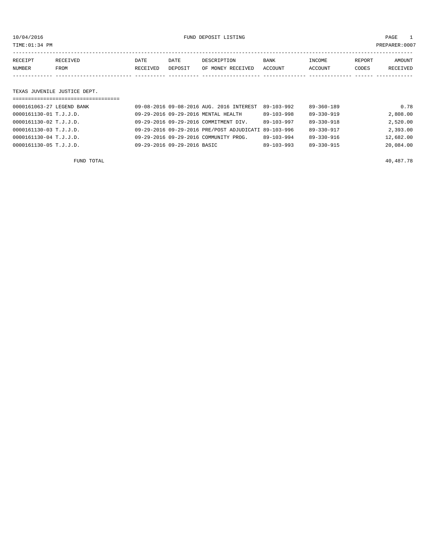10/04/2016 FUND DEPOSIT LISTING PAGE 1

| RECEIPT | <b>RECEIVED</b> | DATE     | DATE    | DESCRIPTION       | <b>BANK</b> | INCOME  | REPORT | AMOUNT   |
|---------|-----------------|----------|---------|-------------------|-------------|---------|--------|----------|
| NUMBER  | FROM            | RECEIVED | DEPOSIT | OF MONEY RECEIVED | ACCOUNT     | ACCOUNT | CODES  | RECEIVED |
|         |                 |          |         |                   |             |         |        |          |

# TEXAS JUVENILE JUSTICE DEPT.

| ================================= |                                                      |                  |                  |           |
|-----------------------------------|------------------------------------------------------|------------------|------------------|-----------|
| 0000161063-27 LEGEND BANK         | 09-08-2016 09-08-2016 AUG. 2016 INTEREST             | 89-103-992       | $89 - 360 - 189$ | 0.78      |
| 0000161130-01 T.J.J.D.            | 09-29-2016 09-29-2016 MENTAL HEALTH                  | 89-103-998       | 89-330-919       | 2,808.00  |
| 0000161130-02 T.J.J.D.            | 09-29-2016 09-29-2016 COMMITMENT DIV.                | $89 - 103 - 997$ | $89 - 330 - 918$ | 2,520.00  |
| 0000161130-03 T.J.J.D.            | 09-29-2016 09-29-2016 PRE/POST ADJUDICATI 89-103-996 |                  | 89-330-917       | 2,393.00  |
| 0000161130-04 T.J.J.D.            | 09-29-2016 09-29-2016 COMMUNITY PROG.                | $89 - 103 - 994$ | $89 - 330 - 916$ | 12,682.00 |
| $0000161130 - 05$ T.J.J.D.        | 09-29-2016 09-29-2016 BASIC                          | $89 - 103 - 993$ | $89 - 330 - 915$ | 20,084.00 |
|                                   |                                                      |                  |                  |           |

FUND TOTAL  $40,487.78$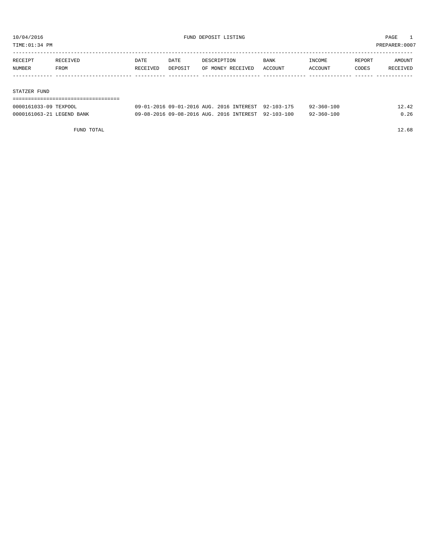TIME:01:34 PM PREPARER:0007

| RECEIPT | RECEIVED | DATE     | DATE    | DESCRIPTION       | BANK    | INCOME  | REPORT | AMOUNT   |
|---------|----------|----------|---------|-------------------|---------|---------|--------|----------|
| NUMBER  | FROM     | RECEIVED | DEPOSIT | OF MONEY RECEIVED | ACCOUNT | ACCOUNT | CODES  | RECEIVED |
|         |          |          |         |                   |         |         |        |          |
|         |          |          |         |                   |         |         |        |          |

### STATZER FUND

| 0000161033-09 TEXPOOL     | 09-01-2016 09-01-2016 AUG. 2016 INTEREST 92-103-175 |  | 92-360-100 | 12.42 |
|---------------------------|-----------------------------------------------------|--|------------|-------|
| 0000161063-21 LEGEND BANK | 09-08-2016 09-08-2016 AUG, 2016 INTEREST 92-103-100 |  | 92-360-100 | 0.26  |

FUND TOTAL 12.68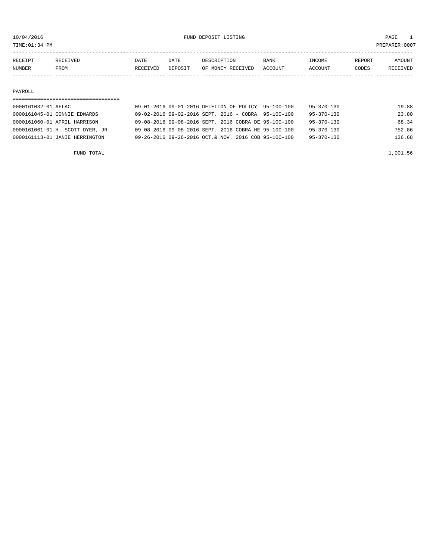TIME:01:34 PM PREPARER:0007

| RECEIPT | RECEIVED    | DATE     | DATE    | DESCRIPTION       | <b>BANK</b> | INCOME  | REPORT | AMOUNT   |
|---------|-------------|----------|---------|-------------------|-------------|---------|--------|----------|
| NUMBER  | <b>FROM</b> | RECEIVED | DEPOSIT | OF MONEY RECEIVED | ACCOUNT     | ACCOUNT | CODES  | RECEIVED |
|         |             |          |         |                   |             |         |        |          |

### PAYROLL

| 0000161032-01 AFLAC              | 09-01-2016 09-01-2016 DELETION OF POLICY 95-100-100                      | $95 - 370 - 130$<br>19.88  |
|----------------------------------|--------------------------------------------------------------------------|----------------------------|
| 0000161045-01 CONNIE EDWARDS     | $09-02-2016$ $09-02-2016$ SEPT, $2016$ - COBRA $95-100-100$              | 23.80<br>$95 - 370 - 130$  |
| 0000161060-01 APRIL HARRISON     | 09-08-2016 09-08-2016 SEPT, 2016 COBRA DE 95-100-100                     | 68.34<br>$95 - 370 - 130$  |
| 0000161061-01 H. SCOTT DYER, JR. | 09-08-2016 09-08-2016 SEPT, 2016 COBRA HE 95-100-100                     | 752.86<br>$95 - 370 - 130$ |
| 0000161113-01 JANIE HERRINGTON   | $09 - 26 - 2016$ $09 - 26 - 2016$ $0CT$ & NOV, 2016 COB $95 - 100 - 100$ | 136.68<br>$95 - 370 - 130$ |
|                                  |                                                                          |                            |

FUND TOTAL  $1,001.56$